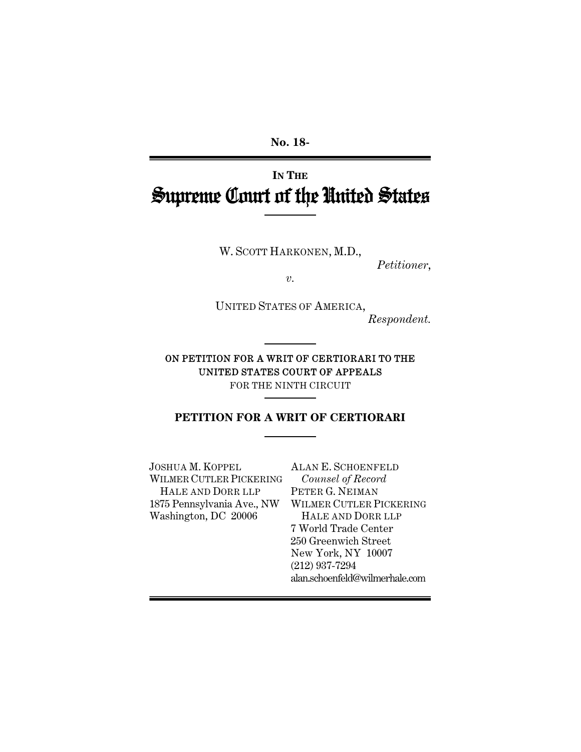**No. 18-** 

# **IN THE** Supreme Court of the United States

W. SCOTT HARKONEN, M.D.,

*Petitioner*,

*v.*

UNITED STATES OF AMERICA,

*Respondent.* 

ON PETITION FOR A WRIT OF CERTIORARI TO THE UNITED STATES COURT OF APPEALS FOR THE NINTH CIRCUIT

**PETITION FOR A WRIT OF CERTIORARI** 

JOSHUA M. KOPPEL WILMER CUTLER PICKERING HALE AND DORR LLP Washington, DC 20006

1875 Pennsylvania Ave., NW WILMER CUTLER PICKERING ALAN E. SCHOENFELD *Counsel of Record* PETER G. NEIMAN HALE AND DORR LLP 7 World Trade Center 250 Greenwich Street New York, NY 10007 (212) 937-7294 alan.schoenfeld@wilmerhale.com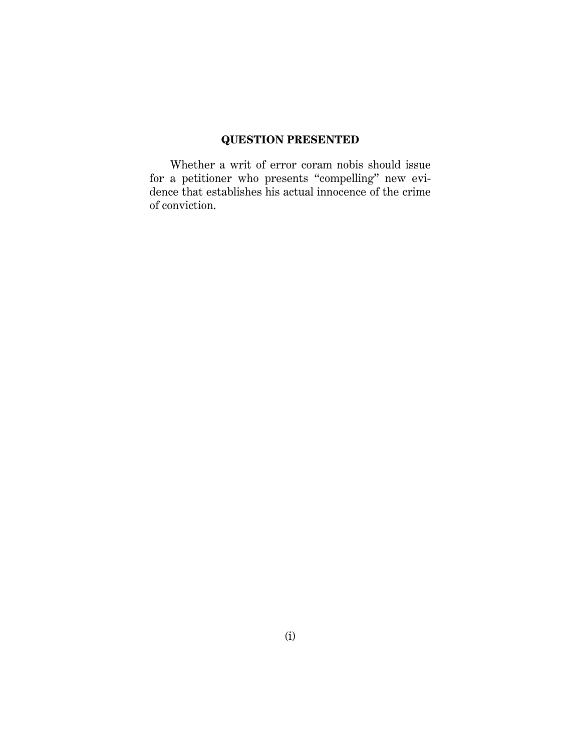## **QUESTION PRESENTED**

Whether a writ of error coram nobis should issue for a petitioner who presents "compelling" new evidence that establishes his actual innocence of the crime of conviction.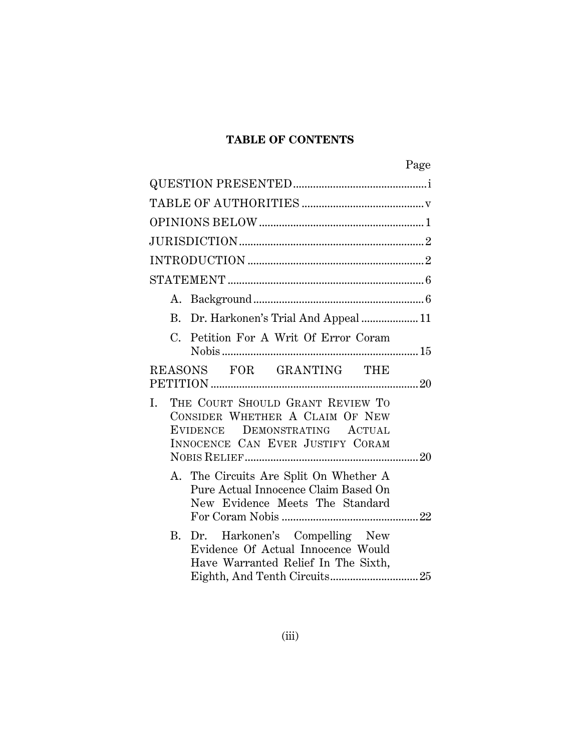## **TABLE OF CONTENTS**

| Page                                                                                                                                           |
|------------------------------------------------------------------------------------------------------------------------------------------------|
|                                                                                                                                                |
|                                                                                                                                                |
|                                                                                                                                                |
|                                                                                                                                                |
|                                                                                                                                                |
|                                                                                                                                                |
|                                                                                                                                                |
| B. Dr. Harkonen's Trial And Appeal  11                                                                                                         |
| Petition For A Writ Of Error Coram<br>C.                                                                                                       |
| REASONS FOR GRANTING THE                                                                                                                       |
| THE COURT SHOULD GRANT REVIEW TO<br>I.<br>CONSIDER WHETHER A CLAIM OF NEW<br>EVIDENCE DEMONSTRATING ACTUAL<br>INNOCENCE CAN EVER JUSTIFY CORAM |
| A. The Circuits Are Split On Whether A<br>Pure Actual Innocence Claim Based On<br>New Evidence Meets The Standard                              |
| B. Dr. Harkonen's Compelling New<br>Evidence Of Actual Innocence Would<br>Have Warranted Relief In The Sixth,                                  |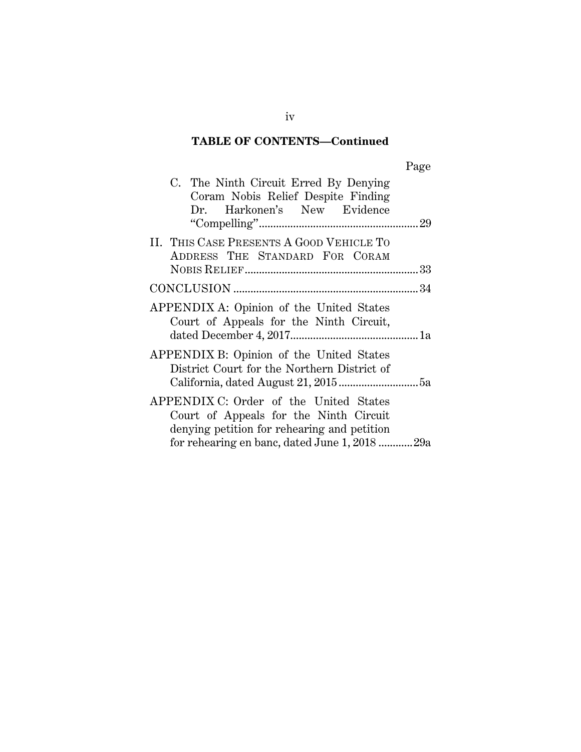## **TABLE OF CONTENTS—Continued**

| C. The Ninth Circuit Erred By Denying<br>Coram Nobis Relief Despite Finding<br>Dr. Harkonen's New Evidence                      |  |
|---------------------------------------------------------------------------------------------------------------------------------|--|
|                                                                                                                                 |  |
| II. THIS CASE PRESENTS A GOOD VEHICLE TO<br>ADDRESS THE STANDARD FOR CORAM                                                      |  |
|                                                                                                                                 |  |
|                                                                                                                                 |  |
| APPENDIX A: Opinion of the United States<br>Court of Appeals for the Ninth Circuit,                                             |  |
| APPENDIX B: Opinion of the United States<br>District Court for the Northern District of                                         |  |
| APPENDIX C: Order of the United States<br>Court of Appeals for the Ninth Circuit<br>denying petition for rehearing and petition |  |
| for rehearing en banc, dated June 1, 2018 29a                                                                                   |  |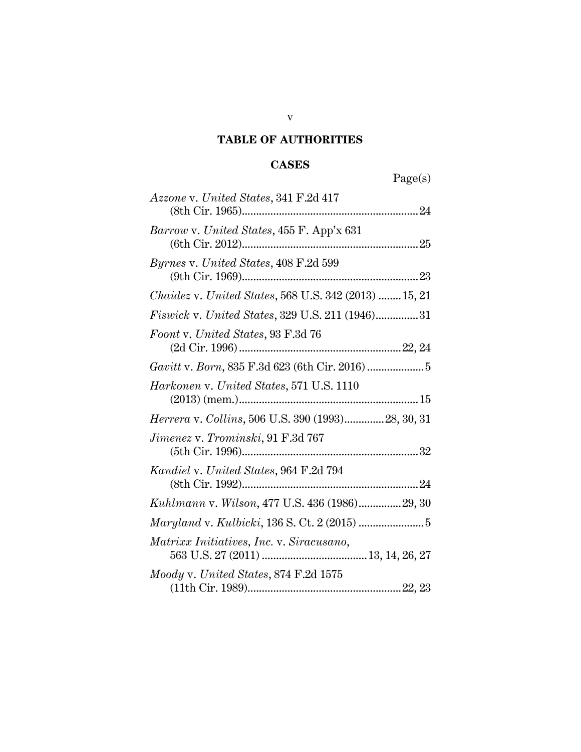## **TABLE OF AUTHORITIES**

## **CASES**

| Page(s)                                               |
|-------------------------------------------------------|
| Azzone v. United States, 341 F.2d 417                 |
| Barrow v. United States, 455 F. App'x 631             |
| <i>Byrnes v. United States,</i> 408 F.2d 599          |
| Chaidez v. United States, 568 U.S. 342 (2013)  15, 21 |
| Fiswick v. United States, 329 U.S. 211 (1946)31       |
| Foont v. United States, 93 F.3d 76                    |
|                                                       |
| Harkonen v. United States, 571 U.S. 1110              |
| Herrera v. Collins, 506 U.S. 390 (1993)28, 30, 31     |
| $Jimenez$ v. $Trominski$ , $91$ $\rm F.3d$ $767$      |
| Kandiel v. United States, 964 F.2d 794                |
| Kuhlmann v. Wilson, 477 U.S. 436 (1986)29, 30         |
|                                                       |
| Matrixx Initiatives, Inc. v. Siracusano,              |
| $\emph{Mody v. United States}, 874 F.2d 1575$         |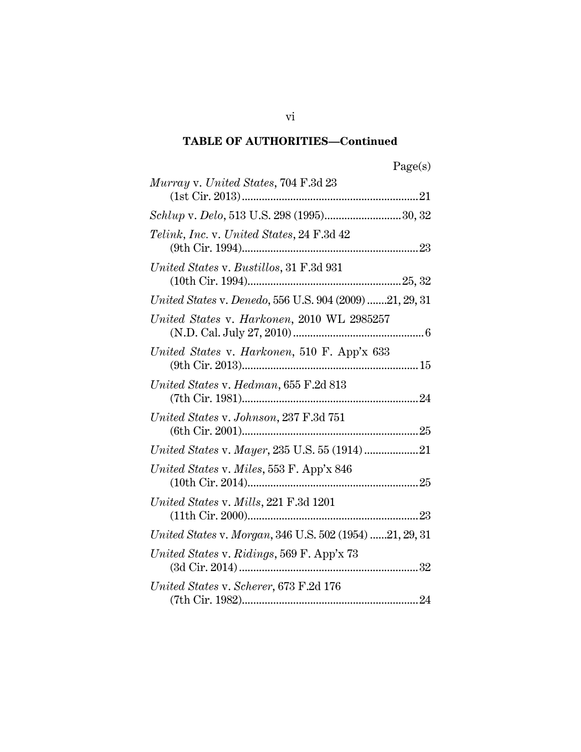## **TABLE OF AUTHORITIES—Continued**

| Murray v. United States, 704 F.3d 23                    |
|---------------------------------------------------------|
|                                                         |
| Schlup v. Delo, 513 U.S. 298 (1995)30, 32               |
| Telink, Inc. v. United States, 24 F.3d 42               |
| United States v. Bustillos, 31 F.3d 931                 |
| United States v. Denedo, 556 U.S. 904 (2009) 21, 29, 31 |
| United States v. Harkonen, 2010 WL 2985257              |
| United States v. Harkonen, 510 F. App'x 633             |
| United States v. Hedman, 655 F.2d 813                   |
| United States v. Johnson, 237 F.3d 751                  |
| United States v. Mayer, 235 U.S. 55 (1914)21            |
| United States v. Miles, 553 F. App'x 846                |
| United States v. Mills, 221 F.3d 1201                   |
| United States v. Morgan, 346 U.S. 502 (1954) 21, 29, 31 |
| United States v. Ridings, 569 F. App'x 73               |
| United States v. Scherer, 673 F.2d 176                  |

vi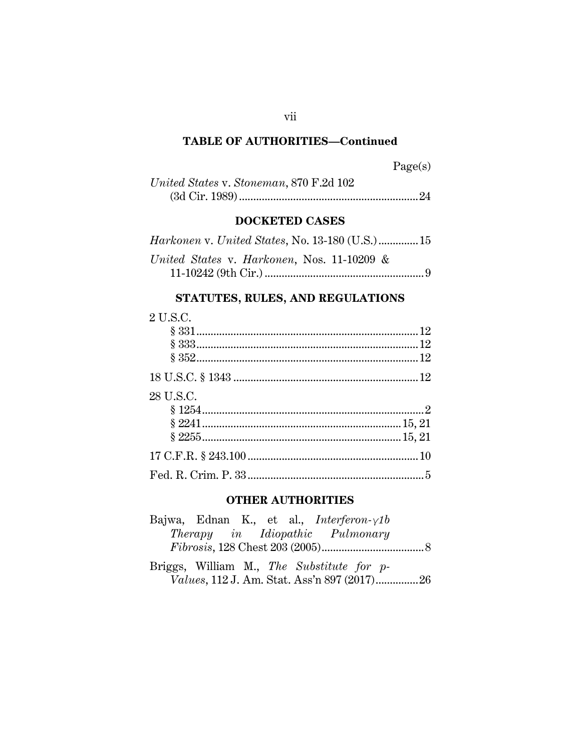## **TABLE OF AUTHORITIES—Continued**

Page(s)

| United States v. Stoneman, 870 F.2d 102 |  |
|-----------------------------------------|--|
|                                         |  |

# **DOCKETED CASES**

| United States v. Harkonen, Nos. 11-10209 & |  |
|--------------------------------------------|--|
|                                            |  |

## **STATUTES, RULES, AND REGULATIONS**

# 2 U.S.C.

| 28 U.S.C. |  |
|-----------|--|
|           |  |
|           |  |
|           |  |
|           |  |
|           |  |

## **OTHER AUTHORITIES**

| Bajwa, Ednan K., et al., <i>Interferon-<math>\gamma</math>1b</i> |  |  |  |
|------------------------------------------------------------------|--|--|--|
| Therapy in Idiopathic Pulmonary                                  |  |  |  |
|                                                                  |  |  |  |
| Briggs, William M., The Substitute for p-                        |  |  |  |
|                                                                  |  |  |  |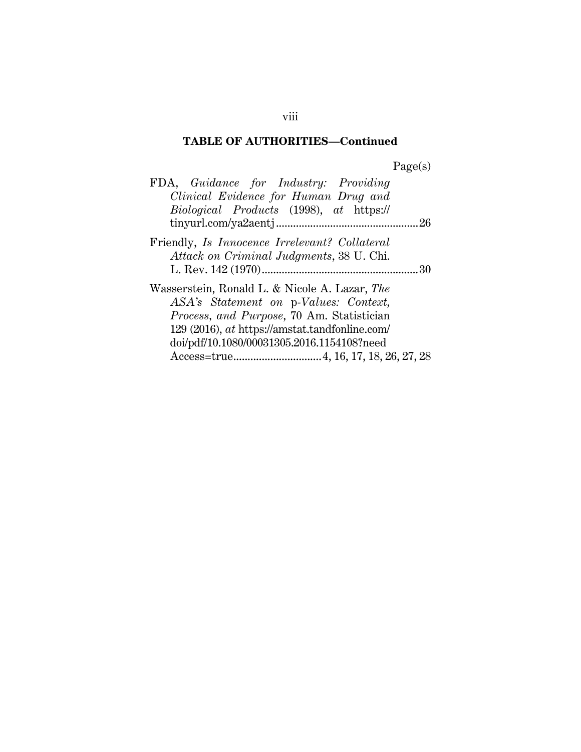# **TABLE OF AUTHORITIES—Continued**

Page(s)

| FDA, Guidance for Industry: Providing          |  |
|------------------------------------------------|--|
| Clinical Evidence for Human Drug and           |  |
| Biological Products (1998), at https://        |  |
|                                                |  |
| Friendly, Is Innocence Irrelevant? Collateral  |  |
| Attack on Criminal Judgments, 38 U. Chi.       |  |
|                                                |  |
| Wasserstein, Ronald L. & Nicole A. Lazar, The  |  |
| ASA's Statement on p-Values: Context,          |  |
| Process, and Purpose, 70 Am. Statistician      |  |
| 129 (2016), at https://amstat.tandfonline.com/ |  |
| doi/pdf/10.1080/00031305.2016.1154108?need     |  |
|                                                |  |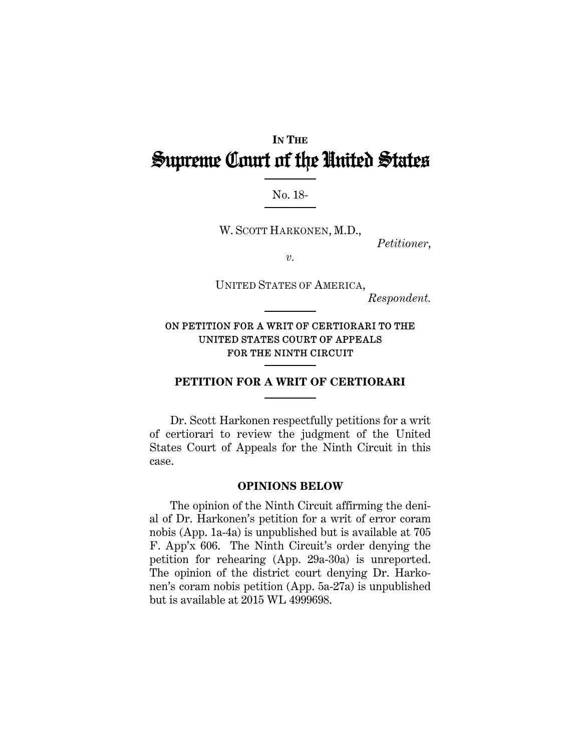# **IN THE** Supreme Court of the United States

#### No. 18-

W. SCOTT HARKONEN, M.D.,

*Petitioner*,

*v.* 

UNITED STATES OF AMERICA,

*Respondent.* 

### ON PETITION FOR A WRIT OF CERTIORARI TO THE UNITED STATES COURT OF APPEALS FOR THE NINTH CIRCUIT

#### **PETITION FOR A WRIT OF CERTIORARI**

Dr. Scott Harkonen respectfully petitions for a writ of certiorari to review the judgment of the United States Court of Appeals for the Ninth Circuit in this case.

#### **OPINIONS BELOW**

The opinion of the Ninth Circuit affirming the denial of Dr. Harkonen's petition for a writ of error coram nobis (App. 1a-4a) is unpublished but is available at 705 F. App'x 606. The Ninth Circuit's order denying the petition for rehearing (App. 29a-30a) is unreported. The opinion of the district court denying Dr. Harkonen's coram nobis petition (App. 5a-27a) is unpublished but is available at 2015 WL 4999698.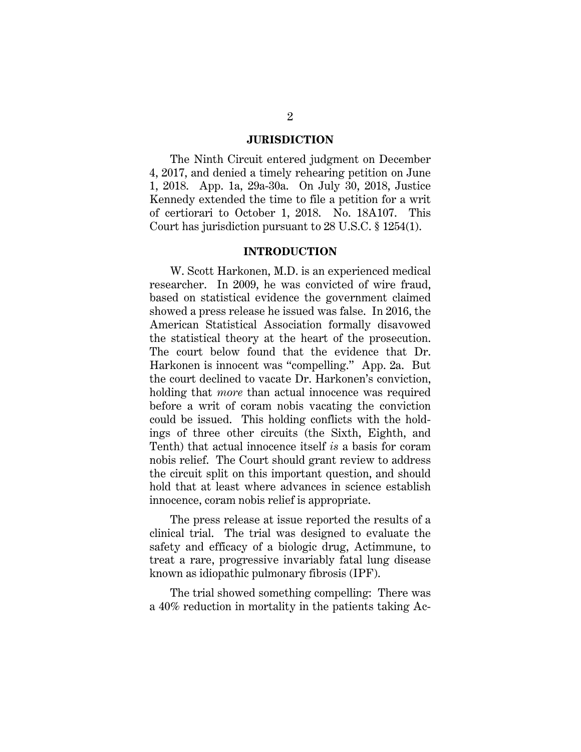#### **JURISDICTION**

The Ninth Circuit entered judgment on December 4, 2017, and denied a timely rehearing petition on June 1, 2018. App. 1a, 29a-30a. On July 30, 2018, Justice Kennedy extended the time to file a petition for a writ of certiorari to October 1, 2018. No. 18A107. This Court has jurisdiction pursuant to 28 U.S.C. § 1254(1).

#### **INTRODUCTION**

W. Scott Harkonen, M.D. is an experienced medical researcher. In 2009, he was convicted of wire fraud, based on statistical evidence the government claimed showed a press release he issued was false. In 2016, the American Statistical Association formally disavowed the statistical theory at the heart of the prosecution. The court below found that the evidence that Dr. Harkonen is innocent was "compelling." App. 2a. But the court declined to vacate Dr. Harkonen's conviction, holding that *more* than actual innocence was required before a writ of coram nobis vacating the conviction could be issued. This holding conflicts with the holdings of three other circuits (the Sixth, Eighth, and Tenth) that actual innocence itself *is* a basis for coram nobis relief. The Court should grant review to address the circuit split on this important question, and should hold that at least where advances in science establish innocence, coram nobis relief is appropriate.

The press release at issue reported the results of a clinical trial. The trial was designed to evaluate the safety and efficacy of a biologic drug, Actimmune, to treat a rare, progressive invariably fatal lung disease known as idiopathic pulmonary fibrosis (IPF).

The trial showed something compelling: There was a 40% reduction in mortality in the patients taking Ac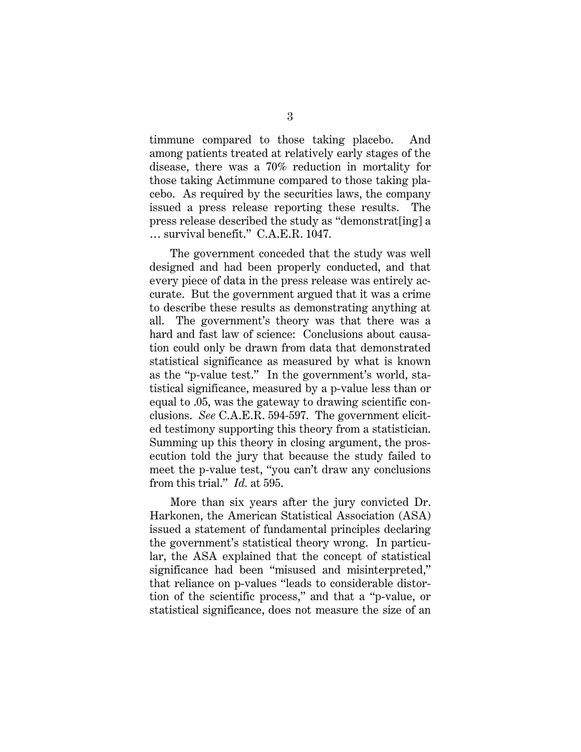timmune compared to those taking placebo. And among patients treated at relatively early stages of the disease, there was a 70% reduction in mortality for those taking Actimmune compared to those taking placebo. As required by the securities laws, the company issued a press release reporting these results. The press release described the study as "demonstrat[ing] a … survival benefit." C.A.E.R. 1047.

The government conceded that the study was well designed and had been properly conducted, and that every piece of data in the press release was entirely accurate. But the government argued that it was a crime to describe these results as demonstrating anything at all. The government's theory was that there was a hard and fast law of science: Conclusions about causation could only be drawn from data that demonstrated statistical significance as measured by what is known as the "p-value test." In the government's world, statistical significance, measured by a p-value less than or equal to .05, was the gateway to drawing scientific conclusions. *See* C.A.E.R. 594-597. The government elicited testimony supporting this theory from a statistician. Summing up this theory in closing argument, the prosecution told the jury that because the study failed to meet the p-value test, "you can't draw any conclusions from this trial." *Id.* at 595.

More than six years after the jury convicted Dr. Harkonen, the American Statistical Association (ASA) issued a statement of fundamental principles declaring the government's statistical theory wrong. In particular, the ASA explained that the concept of statistical significance had been "misused and misinterpreted," that reliance on p-values "leads to considerable distortion of the scientific process," and that a "p-value, or statistical significance, does not measure the size of an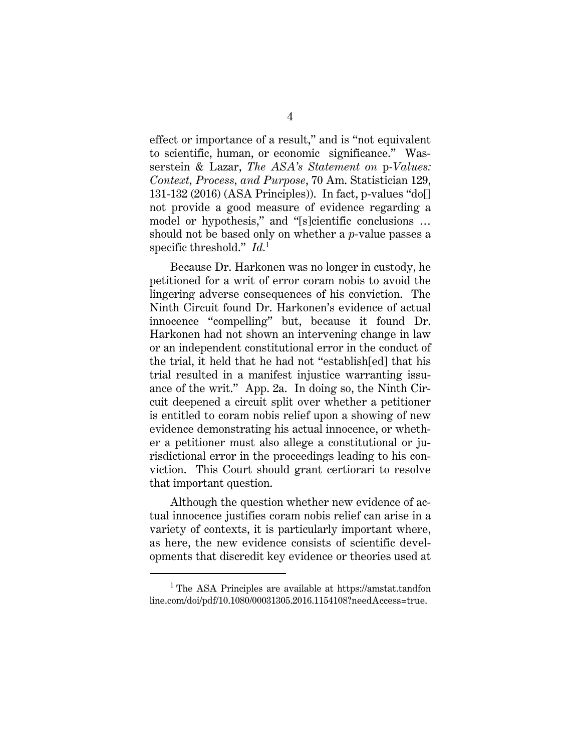effect or importance of a result," and is "not equivalent to scientific, human, or economic significance." Wasserstein & Lazar, *The ASA's Statement on* p*-Values: Context, Process, and Purpose*, 70 Am. Statistician 129, 131-132 (2016) (ASA Principles)). In fact, p-values "do[] not provide a good measure of evidence regarding a model or hypothesis," and "[s]cientific conclusions … should not be based only on whether a *p*-value passes a specific threshold." *Id.*<sup>1</sup>

Because Dr. Harkonen was no longer in custody, he petitioned for a writ of error coram nobis to avoid the lingering adverse consequences of his conviction. The Ninth Circuit found Dr. Harkonen's evidence of actual innocence "compelling" but, because it found Dr. Harkonen had not shown an intervening change in law or an independent constitutional error in the conduct of the trial, it held that he had not "establish[ed] that his trial resulted in a manifest injustice warranting issuance of the writ." App. 2a. In doing so, the Ninth Circuit deepened a circuit split over whether a petitioner is entitled to coram nobis relief upon a showing of new evidence demonstrating his actual innocence, or whether a petitioner must also allege a constitutional or jurisdictional error in the proceedings leading to his conviction. This Court should grant certiorari to resolve that important question.

Although the question whether new evidence of actual innocence justifies coram nobis relief can arise in a variety of contexts, it is particularly important where, as here, the new evidence consists of scientific developments that discredit key evidence or theories used at

<sup>&</sup>lt;sup>1</sup> The ASA Principles are available at https://amstat.tandfon line.com/doi/pdf/10.1080/00031305.2016.1154108?needAccess=true.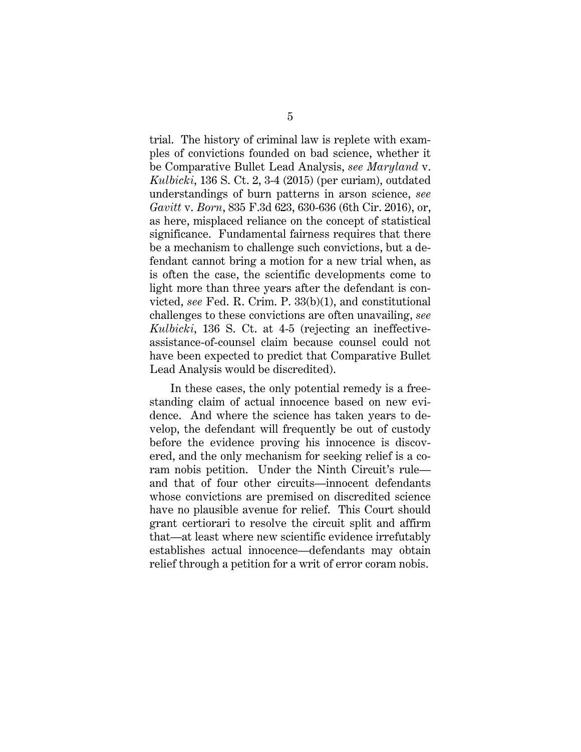trial. The history of criminal law is replete with examples of convictions founded on bad science, whether it be Comparative Bullet Lead Analysis, *see Maryland* v. *Kulbicki*, 136 S. Ct. 2, 3-4 (2015) (per curiam), outdated understandings of burn patterns in arson science, *see Gavitt* v. *Born*, 835 F.3d 623, 630-636 (6th Cir. 2016), or, as here, misplaced reliance on the concept of statistical significance. Fundamental fairness requires that there be a mechanism to challenge such convictions, but a defendant cannot bring a motion for a new trial when, as is often the case, the scientific developments come to light more than three years after the defendant is convicted, *see* Fed. R. Crim. P. 33(b)(1), and constitutional challenges to these convictions are often unavailing, *see Kulbicki*, 136 S. Ct. at 4-5 (rejecting an ineffectiveassistance-of-counsel claim because counsel could not have been expected to predict that Comparative Bullet Lead Analysis would be discredited).

In these cases, the only potential remedy is a freestanding claim of actual innocence based on new evidence. And where the science has taken years to develop, the defendant will frequently be out of custody before the evidence proving his innocence is discovered, and the only mechanism for seeking relief is a coram nobis petition. Under the Ninth Circuit's rule and that of four other circuits—innocent defendants whose convictions are premised on discredited science have no plausible avenue for relief. This Court should grant certiorari to resolve the circuit split and affirm that—at least where new scientific evidence irrefutably establishes actual innocence—defendants may obtain relief through a petition for a writ of error coram nobis.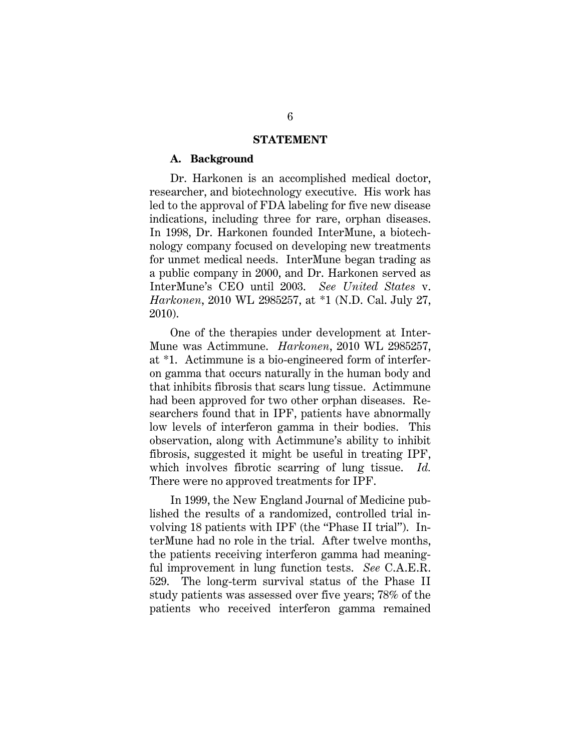#### **STATEMENT**

#### **A. Background**

Dr. Harkonen is an accomplished medical doctor, researcher, and biotechnology executive. His work has led to the approval of FDA labeling for five new disease indications, including three for rare, orphan diseases. In 1998, Dr. Harkonen founded InterMune, a biotechnology company focused on developing new treatments for unmet medical needs. InterMune began trading as a public company in 2000, and Dr. Harkonen served as InterMune's CEO until 2003. *See United States* v. *Harkonen*, 2010 WL 2985257, at \*1 (N.D. Cal. July 27, 2010).

One of the therapies under development at Inter-Mune was Actimmune. *Harkonen*, 2010 WL 2985257, at \*1. Actimmune is a bio-engineered form of interferon gamma that occurs naturally in the human body and that inhibits fibrosis that scars lung tissue. Actimmune had been approved for two other orphan diseases. Researchers found that in IPF, patients have abnormally low levels of interferon gamma in their bodies. This observation, along with Actimmune's ability to inhibit fibrosis, suggested it might be useful in treating IPF, which involves fibrotic scarring of lung tissue. *Id.*  There were no approved treatments for IPF.

In 1999, the New England Journal of Medicine published the results of a randomized, controlled trial involving 18 patients with IPF (the "Phase II trial"). InterMune had no role in the trial. After twelve months, the patients receiving interferon gamma had meaningful improvement in lung function tests. *See* C.A.E.R. 529. The long-term survival status of the Phase II study patients was assessed over five years; 78% of the patients who received interferon gamma remained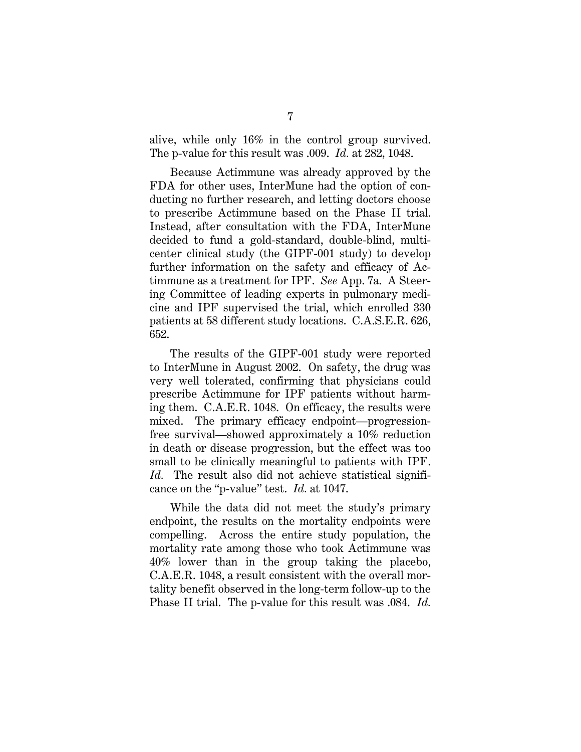alive, while only 16% in the control group survived. The p-value for this result was .009. *Id.* at 282, 1048.

Because Actimmune was already approved by the FDA for other uses, InterMune had the option of conducting no further research, and letting doctors choose to prescribe Actimmune based on the Phase II trial. Instead, after consultation with the FDA, InterMune decided to fund a gold-standard, double-blind, multicenter clinical study (the GIPF-001 study) to develop further information on the safety and efficacy of Actimmune as a treatment for IPF. *See* App. 7a. A Steering Committee of leading experts in pulmonary medicine and IPF supervised the trial, which enrolled 330 patients at 58 different study locations. C.A.S.E.R. 626, 652.

The results of the GIPF-001 study were reported to InterMune in August 2002. On safety, the drug was very well tolerated, confirming that physicians could prescribe Actimmune for IPF patients without harming them. C.A.E.R. 1048. On efficacy, the results were mixed. The primary efficacy endpoint—progressionfree survival—showed approximately a 10% reduction in death or disease progression, but the effect was too small to be clinically meaningful to patients with IPF. *Id.* The result also did not achieve statistical significance on the "p-value" test. *Id.* at 1047.

While the data did not meet the study's primary endpoint, the results on the mortality endpoints were compelling. Across the entire study population, the mortality rate among those who took Actimmune was 40% lower than in the group taking the placebo, C.A.E.R. 1048, a result consistent with the overall mortality benefit observed in the long-term follow-up to the Phase II trial. The p-value for this result was .084. *Id.*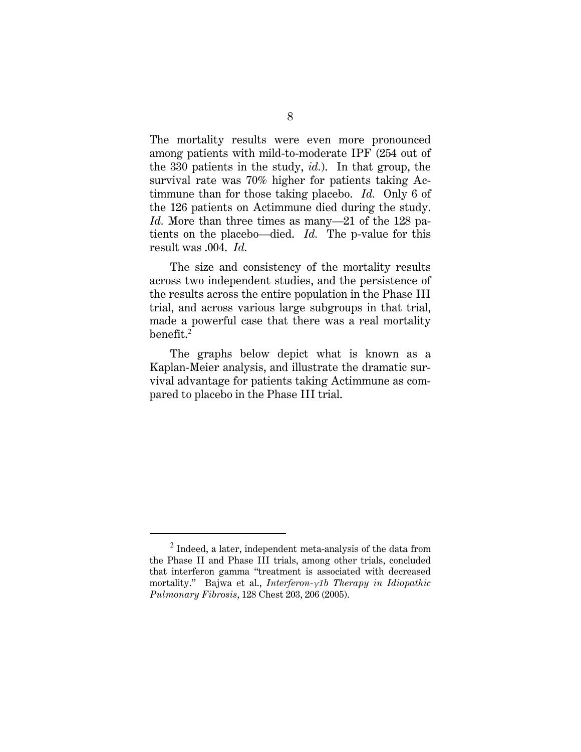The mortality results were even more pronounced among patients with mild-to-moderate IPF (254 out of the 330 patients in the study, *id.*). In that group, the survival rate was 70% higher for patients taking Actimmune than for those taking placebo. *Id.* Only 6 of the 126 patients on Actimmune died during the study. *Id.* More than three times as many—21 of the 128 patients on the placebo—died. *Id.* The p-value for this result was .004. *Id.* 

The size and consistency of the mortality results across two independent studies, and the persistence of the results across the entire population in the Phase III trial, and across various large subgroups in that trial, made a powerful case that there was a real mortality benefit.<sup>2</sup>

The graphs below depict what is known as a Kaplan-Meier analysis, and illustrate the dramatic survival advantage for patients taking Actimmune as compared to placebo in the Phase III trial.

 $^2$  Indeed, a later, independent meta-analysis of the data from the Phase II and Phase III trials, among other trials, concluded that interferon gamma "treatment is associated with decreased mortality." Bajwa et al., *Interferon-γ1b Therapy in Idiopathic Pulmonary Fibrosis*, 128 Chest 203, 206 (2005).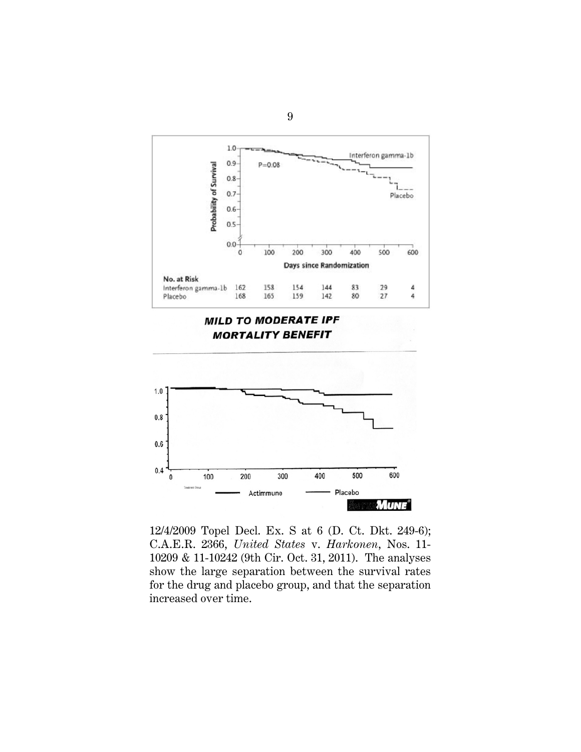

12/4/2009 Topel Decl. Ex. S at 6 (D. Ct. Dkt. 249-6); C.A.E.R. 2366, *United States* v. *Harkonen*, Nos. 11- 10209 & 11-10242 (9th Cir. Oct. 31, 2011). The analyses show the large separation between the survival rates for the drug and placebo group, and that the separation increased over time.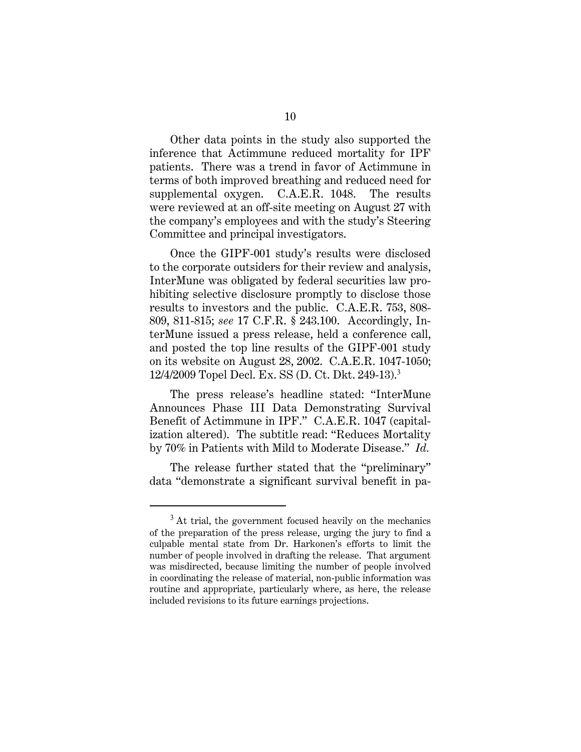Other data points in the study also supported the inference that Actimmune reduced mortality for IPF patients. There was a trend in favor of Actimmune in terms of both improved breathing and reduced need for supplemental oxygen. C.A.E.R. 1048. The results were reviewed at an off-site meeting on August 27 with the company's employees and with the study's Steering Committee and principal investigators.

Once the GIPF-001 study's results were disclosed to the corporate outsiders for their review and analysis, InterMune was obligated by federal securities law prohibiting selective disclosure promptly to disclose those results to investors and the public. C.A.E.R. 753, 808- 809, 811-815; *see* 17 C.F.R. § 243.100. Accordingly, InterMune issued a press release, held a conference call, and posted the top line results of the GIPF-001 study on its website on August 28, 2002. C.A.E.R. 1047-1050; 12/4/2009 Topel Decl. Ex. SS (D. Ct. Dkt. 249-13).<sup>3</sup>

The press release's headline stated: "InterMune Announces Phase III Data Demonstrating Survival Benefit of Actimmune in IPF." C.A.E.R. 1047 (capitalization altered). The subtitle read: "Reduces Mortality by 70% in Patients with Mild to Moderate Disease." *Id.* 

The release further stated that the "preliminary" data "demonstrate a significant survival benefit in pa-

 $3$  At trial, the government focused heavily on the mechanics of the preparation of the press release, urging the jury to find a culpable mental state from Dr. Harkonen's efforts to limit the number of people involved in drafting the release. That argument was misdirected, because limiting the number of people involved in coordinating the release of material, non-public information was routine and appropriate, particularly where, as here, the release included revisions to its future earnings projections.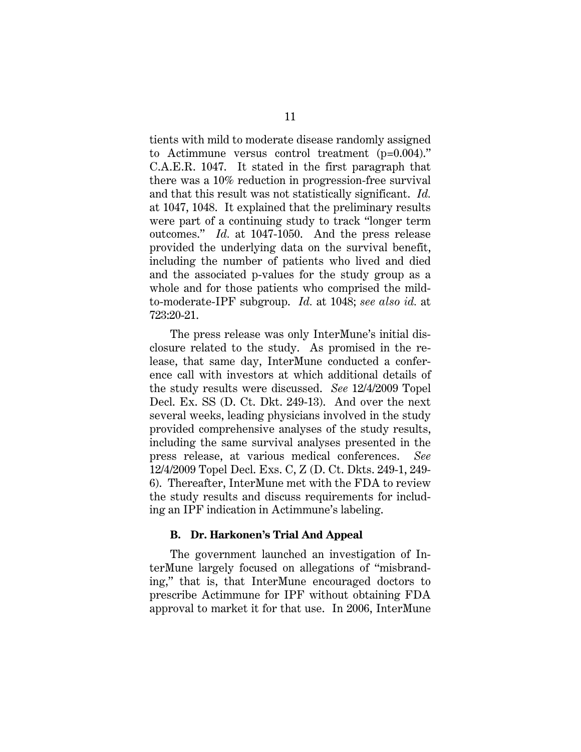tients with mild to moderate disease randomly assigned to Actimmune versus control treatment (p=0.004)." C.A.E.R. 1047. It stated in the first paragraph that there was a 10% reduction in progression-free survival and that this result was not statistically significant. *Id.* at 1047, 1048. It explained that the preliminary results were part of a continuing study to track "longer term outcomes." *Id.* at 1047-1050. And the press release provided the underlying data on the survival benefit, including the number of patients who lived and died and the associated p-values for the study group as a whole and for those patients who comprised the mildto-moderate-IPF subgroup. *Id.* at 1048; *see also id.* at 723:20-21.

The press release was only InterMune's initial disclosure related to the study. As promised in the release, that same day, InterMune conducted a conference call with investors at which additional details of the study results were discussed. *See* 12/4/2009 Topel Decl. Ex. SS (D. Ct. Dkt. 249-13). And over the next several weeks, leading physicians involved in the study provided comprehensive analyses of the study results, including the same survival analyses presented in the press release, at various medical conferences. *See* 12/4/2009 Topel Decl. Exs. C, Z (D. Ct. Dkts. 249-1, 249- 6). Thereafter, InterMune met with the FDA to review the study results and discuss requirements for including an IPF indication in Actimmune's labeling.

#### **B. Dr. Harkonen's Trial And Appeal**

The government launched an investigation of InterMune largely focused on allegations of "misbranding," that is, that InterMune encouraged doctors to prescribe Actimmune for IPF without obtaining FDA approval to market it for that use. In 2006, InterMune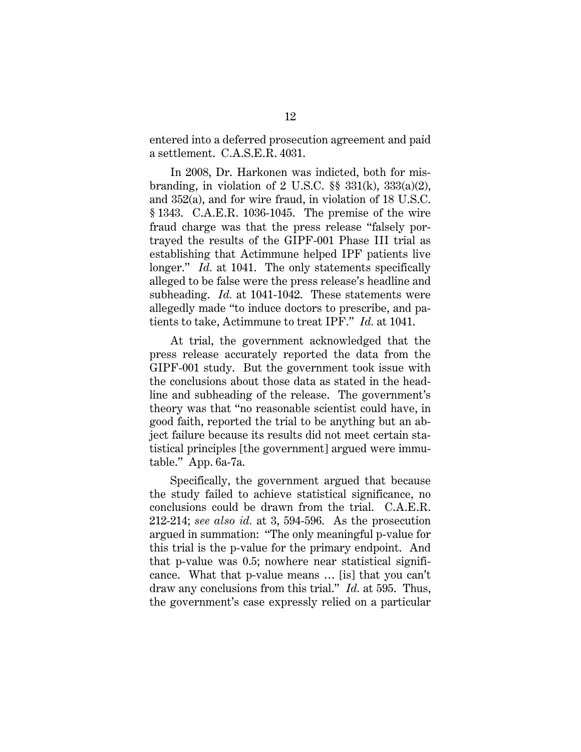entered into a deferred prosecution agreement and paid a settlement. C.A.S.E.R. 4031.

In 2008, Dr. Harkonen was indicted, both for misbranding, in violation of 2 U.S.C.  $\S$  331(k), 333(a)(2), and 352(a), and for wire fraud, in violation of 18 U.S.C. § 1343. C.A.E.R. 1036-1045. The premise of the wire fraud charge was that the press release "falsely portrayed the results of the GIPF-001 Phase III trial as establishing that Actimmune helped IPF patients live longer." *Id.* at 1041. The only statements specifically alleged to be false were the press release's headline and subheading. *Id.* at 1041-1042. These statements were allegedly made "to induce doctors to prescribe, and patients to take, Actimmune to treat IPF." *Id.* at 1041.

At trial, the government acknowledged that the press release accurately reported the data from the GIPF-001 study. But the government took issue with the conclusions about those data as stated in the headline and subheading of the release. The government's theory was that "no reasonable scientist could have, in good faith, reported the trial to be anything but an abject failure because its results did not meet certain statistical principles [the government] argued were immutable." App. 6a-7a.

Specifically, the government argued that because the study failed to achieve statistical significance, no conclusions could be drawn from the trial. C.A.E.R. 212-214; *see also id.* at 3, 594-596. As the prosecution argued in summation: "The only meaningful p-value for this trial is the p-value for the primary endpoint. And that p-value was 0.5; nowhere near statistical significance. What that p-value means … [is] that you can't draw any conclusions from this trial." *Id.* at 595. Thus, the government's case expressly relied on a particular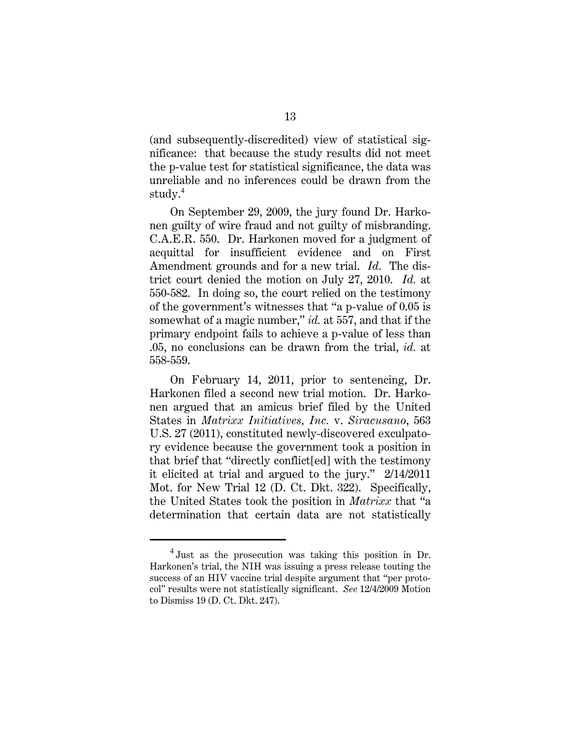(and subsequently-discredited) view of statistical significance: that because the study results did not meet the p-value test for statistical significance, the data was unreliable and no inferences could be drawn from the study.<sup>4</sup>

On September 29, 2009, the jury found Dr. Harkonen guilty of wire fraud and not guilty of misbranding. C.A.E.R. 550. Dr. Harkonen moved for a judgment of acquittal for insufficient evidence and on First Amendment grounds and for a new trial. *Id.* The district court denied the motion on July 27, 2010. *Id.* at 550-582. In doing so, the court relied on the testimony of the government's witnesses that "a p-value of 0.05 is somewhat of a magic number," *id.* at 557, and that if the primary endpoint fails to achieve a p-value of less than .05, no conclusions can be drawn from the trial, *id.* at 558-559.

On February 14, 2011, prior to sentencing, Dr. Harkonen filed a second new trial motion. Dr. Harkonen argued that an amicus brief filed by the United States in *Matrixx Initiatives, Inc.* v. *Siracusano*, 563 U.S. 27 (2011), constituted newly-discovered exculpatory evidence because the government took a position in that brief that "directly conflict[ed] with the testimony it elicited at trial and argued to the jury." 2/14/2011 Mot. for New Trial 12 (D. Ct. Dkt. 322). Specifically, the United States took the position in *Matrixx* that "a determination that certain data are not statistically

<sup>4</sup> Just as the prosecution was taking this position in Dr. Harkonen's trial, the NIH was issuing a press release touting the success of an HIV vaccine trial despite argument that "per protocol" results were not statistically significant. *See* 12/4/2009 Motion to Dismiss 19 (D. Ct. Dkt. 247).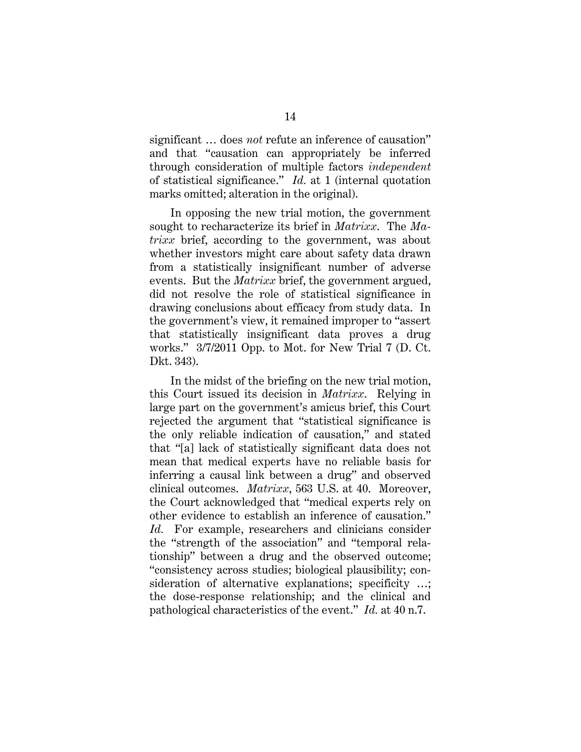significant … does *not* refute an inference of causation" and that "causation can appropriately be inferred through consideration of multiple factors *independent*  of statistical significance." *Id.* at 1 (internal quotation marks omitted; alteration in the original).

In opposing the new trial motion, the government sought to recharacterize its brief in *Matrixx*. The *Matrixx* brief, according to the government, was about whether investors might care about safety data drawn from a statistically insignificant number of adverse events. But the *Matrixx* brief, the government argued, did not resolve the role of statistical significance in drawing conclusions about efficacy from study data. In the government's view, it remained improper to "assert that statistically insignificant data proves a drug works." 3/7/2011 Opp. to Mot. for New Trial 7 (D. Ct. Dkt. 343).

In the midst of the briefing on the new trial motion, this Court issued its decision in *Matrixx*. Relying in large part on the government's amicus brief, this Court rejected the argument that "statistical significance is the only reliable indication of causation," and stated that "[a] lack of statistically significant data does not mean that medical experts have no reliable basis for inferring a causal link between a drug" and observed clinical outcomes. *Matrixx*, 563 U.S. at 40. Moreover, the Court acknowledged that "medical experts rely on other evidence to establish an inference of causation." *Id.* For example, researchers and clinicians consider the "strength of the association" and "temporal relationship" between a drug and the observed outcome; "consistency across studies; biological plausibility; consideration of alternative explanations; specificity ...; the dose-response relationship; and the clinical and pathological characteristics of the event." *Id.* at 40 n.7.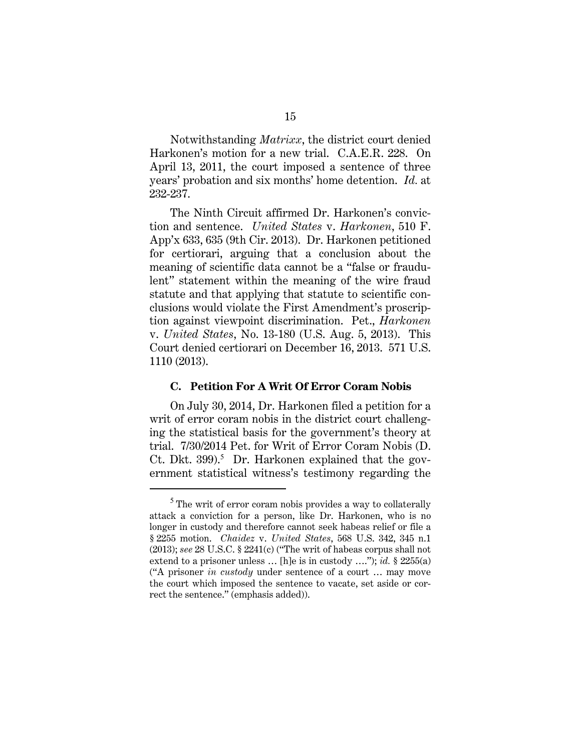Notwithstanding *Matrixx*, the district court denied Harkonen's motion for a new trial. C.A.E.R. 228. On April 13, 2011, the court imposed a sentence of three years' probation and six months' home detention. *Id.* at 232-237.

The Ninth Circuit affirmed Dr. Harkonen's conviction and sentence. *United States* v. *Harkonen*, 510 F. App'x 633, 635 (9th Cir. 2013). Dr. Harkonen petitioned for certiorari, arguing that a conclusion about the meaning of scientific data cannot be a "false or fraudulent" statement within the meaning of the wire fraud statute and that applying that statute to scientific conclusions would violate the First Amendment's proscription against viewpoint discrimination. Pet., *Harkonen*  v. *United States*, No. 13-180 (U.S. Aug. 5, 2013). This Court denied certiorari on December 16, 2013. 571 U.S. 1110 (2013).

#### **C. Petition For A Writ Of Error Coram Nobis**

On July 30, 2014, Dr. Harkonen filed a petition for a writ of error coram nobis in the district court challenging the statistical basis for the government's theory at trial. 7/30/2014 Pet. for Writ of Error Coram Nobis (D. Ct. Dkt. 399).<sup>5</sup> Dr. Harkonen explained that the government statistical witness's testimony regarding the

 $5$  The writ of error coram nobis provides a way to collaterally attack a conviction for a person, like Dr. Harkonen, who is no longer in custody and therefore cannot seek habeas relief or file a § 2255 motion. *Chaidez* v. *United States*, 568 U.S. 342, 345 n.1 (2013); *see* 28 U.S.C. § 2241(c) ("The writ of habeas corpus shall not extend to a prisoner unless … [h]e is in custody …."); *id.* § 2255(a) ("A prisoner *in custody* under sentence of a court … may move the court which imposed the sentence to vacate, set aside or correct the sentence." (emphasis added)).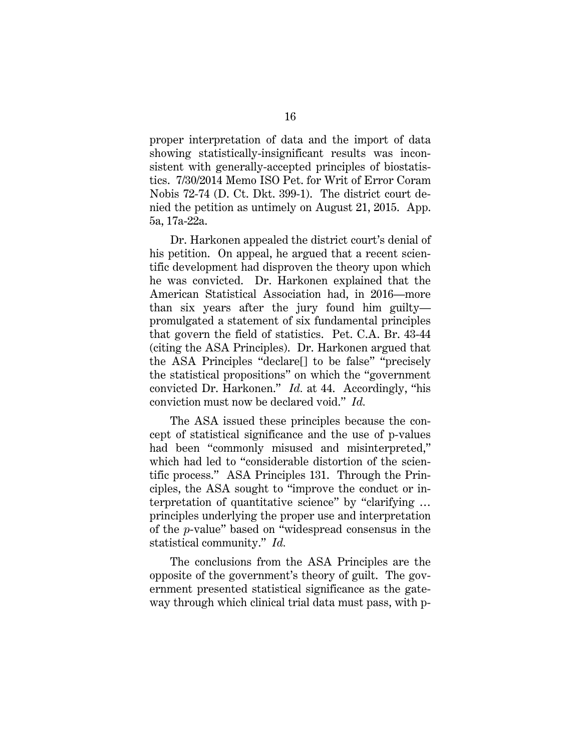proper interpretation of data and the import of data showing statistically-insignificant results was inconsistent with generally-accepted principles of biostatistics. 7/30/2014 Memo ISO Pet. for Writ of Error Coram Nobis 72-74 (D. Ct. Dkt. 399-1). The district court denied the petition as untimely on August 21, 2015. App. 5a, 17a-22a.

Dr. Harkonen appealed the district court's denial of his petition. On appeal, he argued that a recent scientific development had disproven the theory upon which he was convicted. Dr. Harkonen explained that the American Statistical Association had, in 2016—more than six years after the jury found him guilty promulgated a statement of six fundamental principles that govern the field of statistics. Pet. C.A. Br. 43-44 (citing the ASA Principles). Dr. Harkonen argued that the ASA Principles "declare[] to be false" "precisely the statistical propositions" on which the "government convicted Dr. Harkonen." *Id.* at 44. Accordingly, "his conviction must now be declared void." *Id.* 

The ASA issued these principles because the concept of statistical significance and the use of p-values had been "commonly misused and misinterpreted," which had led to "considerable distortion of the scientific process." ASA Principles 131. Through the Principles, the ASA sought to "improve the conduct or interpretation of quantitative science" by "clarifying … principles underlying the proper use and interpretation of the *p*-value" based on "widespread consensus in the statistical community." *Id.*

The conclusions from the ASA Principles are the opposite of the government's theory of guilt. The government presented statistical significance as the gateway through which clinical trial data must pass, with p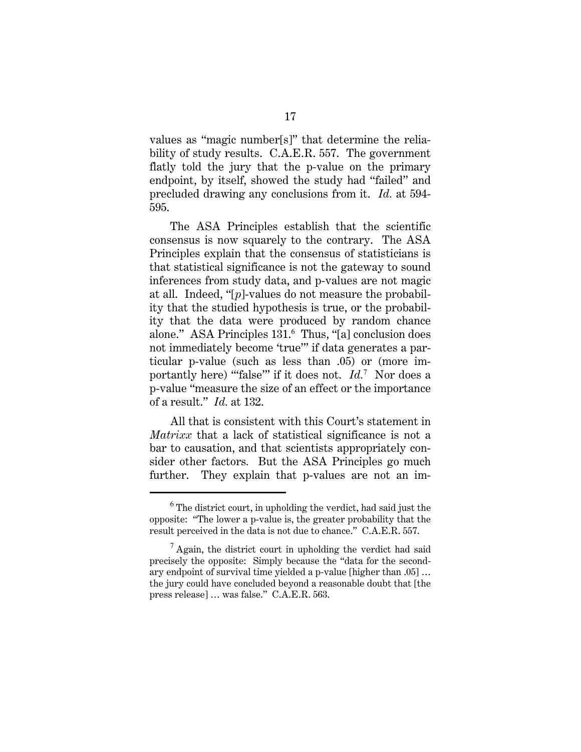values as "magic number[s]" that determine the reliability of study results. C.A.E.R. 557. The government flatly told the jury that the p-value on the primary endpoint, by itself, showed the study had "failed" and precluded drawing any conclusions from it. *Id.* at 594- 595.

The ASA Principles establish that the scientific consensus is now squarely to the contrary. The ASA Principles explain that the consensus of statisticians is that statistical significance is not the gateway to sound inferences from study data, and p-values are not magic at all. Indeed, "[*p*]-values do not measure the probability that the studied hypothesis is true, or the probability that the data were produced by random chance alone." ASA Principles 131.<sup>6</sup> Thus, "[a] conclusion does not immediately become 'true'" if data generates a particular p-value (such as less than .05) or (more importantly here) "false" if it does not. *Id.*<sup>7</sup> Nor does a p-value "measure the size of an effect or the importance of a result." *Id.* at 132.

All that is consistent with this Court's statement in *Matrixx* that a lack of statistical significance is not a bar to causation, and that scientists appropriately consider other factors*.* But the ASA Principles go much further. They explain that p-values are not an im-

 $6$  The district court, in upholding the verdict, had said just the opposite: "The lower a p-value is, the greater probability that the result perceived in the data is not due to chance." C.A.E.R. 557.

 $<sup>7</sup>$  Again, the district court in upholding the verdict had said</sup> precisely the opposite: Simply because the "data for the secondary endpoint of survival time yielded a p-value [higher than .05] … the jury could have concluded beyond a reasonable doubt that [the press release] … was false." C.A.E.R. 563.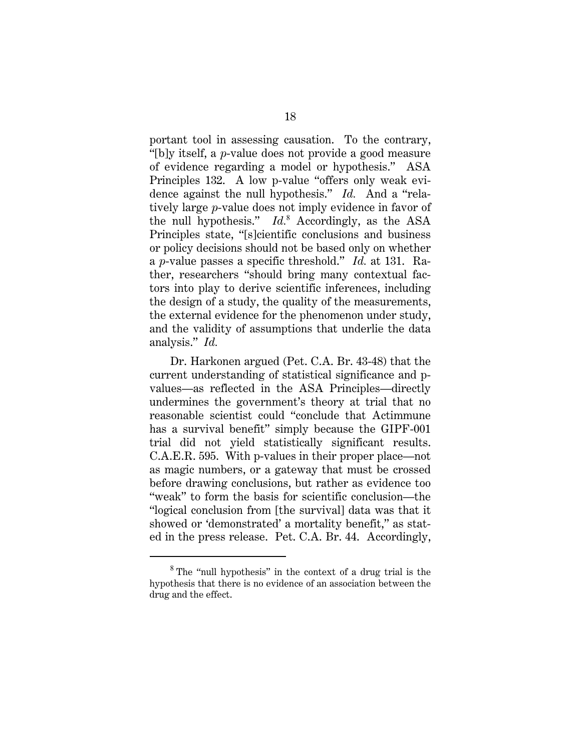portant tool in assessing causation. To the contrary, "[b]y itself, a *p*-value does not provide a good measure of evidence regarding a model or hypothesis." ASA Principles 132. A low p-value "offers only weak evidence against the null hypothesis." *Id.* And a "relatively large *p*-value does not imply evidence in favor of the null hypothesis." *Id.*<sup>8</sup> Accordingly, as the ASA Principles state, "[s]cientific conclusions and business or policy decisions should not be based only on whether a *p*-value passes a specific threshold." *Id.* at 131. Rather, researchers "should bring many contextual factors into play to derive scientific inferences, including the design of a study, the quality of the measurements, the external evidence for the phenomenon under study, and the validity of assumptions that underlie the data analysis." *Id.*

Dr. Harkonen argued (Pet. C.A. Br. 43-48) that the current understanding of statistical significance and pvalues—as reflected in the ASA Principles—directly undermines the government's theory at trial that no reasonable scientist could "conclude that Actimmune has a survival benefit" simply because the GIPF-001 trial did not yield statistically significant results. C.A.E.R. 595. With p-values in their proper place—not as magic numbers, or a gateway that must be crossed before drawing conclusions, but rather as evidence too "weak" to form the basis for scientific conclusion—the "logical conclusion from [the survival] data was that it showed or 'demonstrated' a mortality benefit," as stated in the press release. Pet. C.A. Br. 44. Accordingly,

<sup>&</sup>lt;sup>8</sup> The "null hypothesis" in the context of a drug trial is the hypothesis that there is no evidence of an association between the drug and the effect.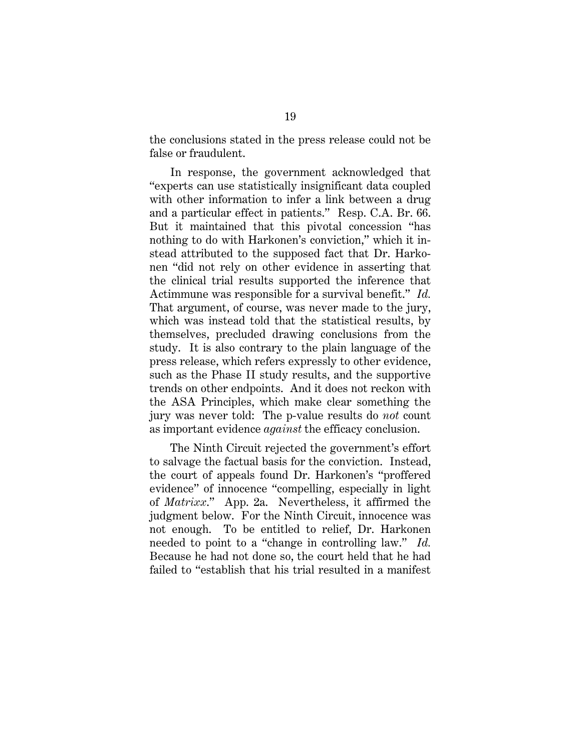the conclusions stated in the press release could not be false or fraudulent.

In response, the government acknowledged that "experts can use statistically insignificant data coupled with other information to infer a link between a drug and a particular effect in patients." Resp. C.A. Br. 66. But it maintained that this pivotal concession "has nothing to do with Harkonen's conviction," which it instead attributed to the supposed fact that Dr. Harkonen "did not rely on other evidence in asserting that the clinical trial results supported the inference that Actimmune was responsible for a survival benefit." *Id.*  That argument, of course, was never made to the jury, which was instead told that the statistical results, by themselves, precluded drawing conclusions from the study. It is also contrary to the plain language of the press release, which refers expressly to other evidence, such as the Phase II study results, and the supportive trends on other endpoints. And it does not reckon with the ASA Principles, which make clear something the jury was never told: The p-value results do *not* count as important evidence *against* the efficacy conclusion.

The Ninth Circuit rejected the government's effort to salvage the factual basis for the conviction. Instead, the court of appeals found Dr. Harkonen's "proffered evidence" of innocence "compelling, especially in light of *Matrixx*." App. 2a. Nevertheless, it affirmed the judgment below. For the Ninth Circuit, innocence was not enough. To be entitled to relief, Dr. Harkonen needed to point to a "change in controlling law." *Id.* Because he had not done so, the court held that he had failed to "establish that his trial resulted in a manifest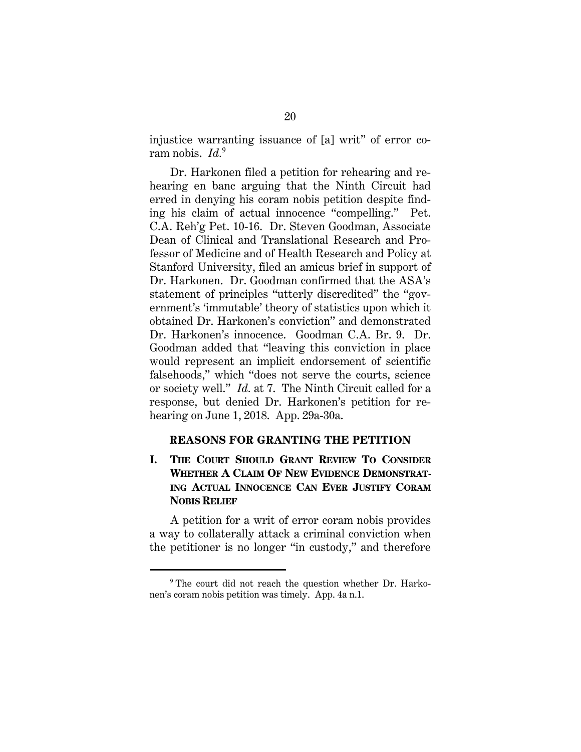injustice warranting issuance of [a] writ" of error coram nobis. *Id.*<sup>9</sup>

Dr. Harkonen filed a petition for rehearing and rehearing en banc arguing that the Ninth Circuit had erred in denying his coram nobis petition despite finding his claim of actual innocence "compelling." Pet. C.A. Reh'g Pet. 10-16. Dr. Steven Goodman, Associate Dean of Clinical and Translational Research and Professor of Medicine and of Health Research and Policy at Stanford University, filed an amicus brief in support of Dr. Harkonen. Dr. Goodman confirmed that the ASA's statement of principles "utterly discredited" the "government's 'immutable' theory of statistics upon which it obtained Dr. Harkonen's conviction" and demonstrated Dr. Harkonen's innocence. Goodman C.A. Br. 9. Dr. Goodman added that "leaving this conviction in place would represent an implicit endorsement of scientific falsehoods," which "does not serve the courts, science or society well." *Id.* at 7. The Ninth Circuit called for a response, but denied Dr. Harkonen's petition for rehearing on June 1, 2018. App. 29a-30a.

## **REASONS FOR GRANTING THE PETITION**

## **I. THE COURT SHOULD GRANT REVIEW TO CONSIDER WHETHER A CLAIM OF NEW EVIDENCE DEMONSTRAT-ING ACTUAL INNOCENCE CAN EVER JUSTIFY CORAM NOBIS RELIEF**

A petition for a writ of error coram nobis provides a way to collaterally attack a criminal conviction when the petitioner is no longer "in custody," and therefore

<sup>&</sup>lt;sup>9</sup> The court did not reach the question whether Dr. Harkonen's coram nobis petition was timely. App. 4a n.1.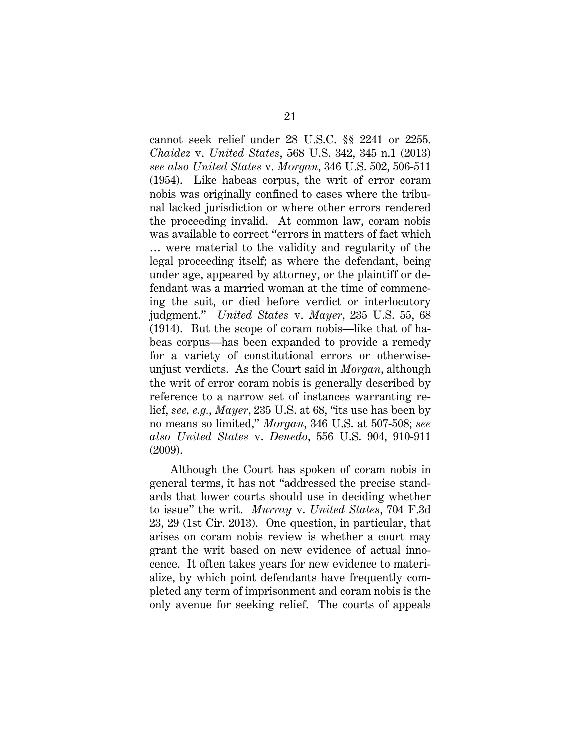cannot seek relief under 28 U.S.C. §§ 2241 or 2255. *Chaidez* v. *United States*, 568 U.S. 342, 345 n.1 (2013) *see also United States* v. *Morgan*, 346 U.S. 502, 506-511 (1954). Like habeas corpus, the writ of error coram nobis was originally confined to cases where the tribunal lacked jurisdiction or where other errors rendered the proceeding invalid. At common law, coram nobis was available to correct "errors in matters of fact which … were material to the validity and regularity of the legal proceeding itself; as where the defendant, being under age, appeared by attorney, or the plaintiff or defendant was a married woman at the time of commencing the suit, or died before verdict or interlocutory judgment." *United States* v. *Mayer*, 235 U.S. 55, 68 (1914). But the scope of coram nobis—like that of habeas corpus—has been expanded to provide a remedy for a variety of constitutional errors or otherwiseunjust verdicts. As the Court said in *Morgan*, although the writ of error coram nobis is generally described by reference to a narrow set of instances warranting relief, *see, e.g.*, *Mayer*, 235 U.S. at 68, "its use has been by no means so limited," *Morgan*, 346 U.S. at 507-508; *see also United States* v. *Denedo*, 556 U.S. 904, 910-911 (2009).

Although the Court has spoken of coram nobis in general terms, it has not "addressed the precise standards that lower courts should use in deciding whether to issue" the writ. *Murray* v. *United States*, 704 F.3d 23, 29 (1st Cir. 2013). One question, in particular, that arises on coram nobis review is whether a court may grant the writ based on new evidence of actual innocence. It often takes years for new evidence to materialize, by which point defendants have frequently completed any term of imprisonment and coram nobis is the only avenue for seeking relief. The courts of appeals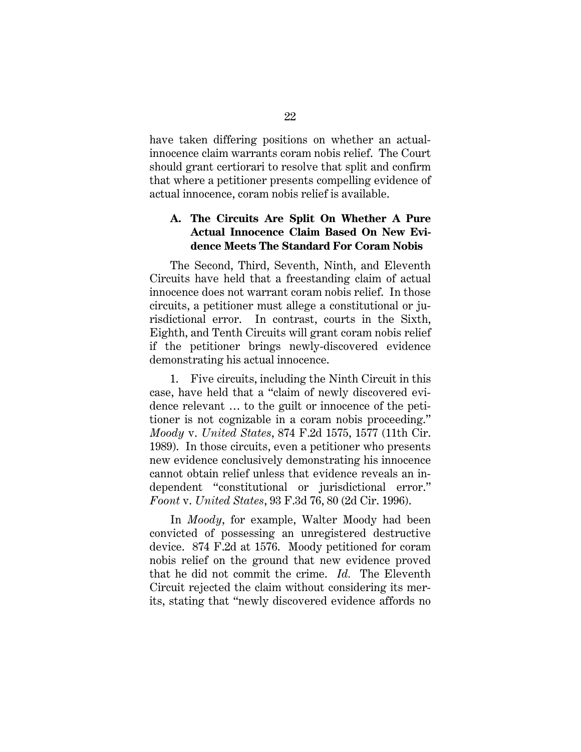have taken differing positions on whether an actualinnocence claim warrants coram nobis relief. The Court should grant certiorari to resolve that split and confirm that where a petitioner presents compelling evidence of actual innocence, coram nobis relief is available.

## **A. The Circuits Are Split On Whether A Pure Actual Innocence Claim Based On New Evidence Meets The Standard For Coram Nobis**

The Second, Third, Seventh, Ninth, and Eleventh Circuits have held that a freestanding claim of actual innocence does not warrant coram nobis relief. In those circuits, a petitioner must allege a constitutional or jurisdictional error. In contrast, courts in the Sixth, Eighth, and Tenth Circuits will grant coram nobis relief if the petitioner brings newly-discovered evidence demonstrating his actual innocence.

1. Five circuits, including the Ninth Circuit in this case, have held that a "claim of newly discovered evidence relevant … to the guilt or innocence of the petitioner is not cognizable in a coram nobis proceeding." *Moody* v. *United States*, 874 F.2d 1575, 1577 (11th Cir. 1989). In those circuits, even a petitioner who presents new evidence conclusively demonstrating his innocence cannot obtain relief unless that evidence reveals an independent "constitutional or jurisdictional error." *Foont* v. *United States*, 93 F.3d 76, 80 (2d Cir. 1996).

In *Moody*, for example, Walter Moody had been convicted of possessing an unregistered destructive device. 874 F.2d at 1576. Moody petitioned for coram nobis relief on the ground that new evidence proved that he did not commit the crime. *Id.* The Eleventh Circuit rejected the claim without considering its merits, stating that "newly discovered evidence affords no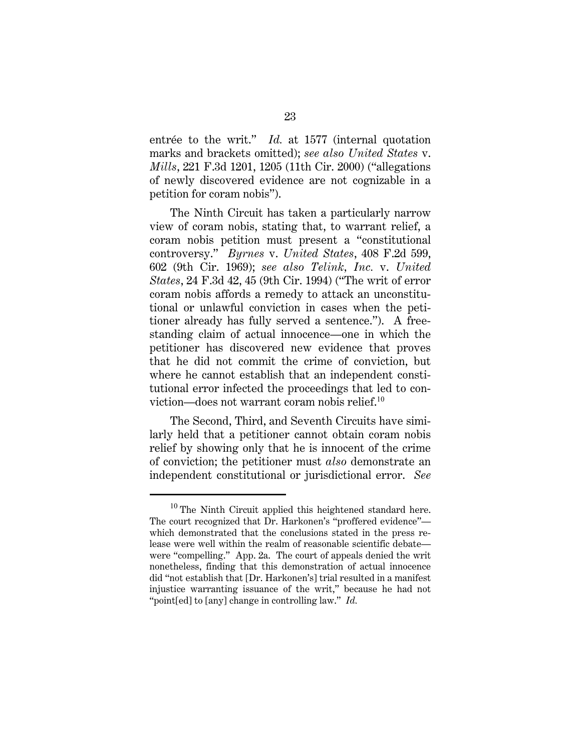entrée to the writ." *Id.* at 1577 (internal quotation marks and brackets omitted); *see also United States* v. *Mills*, 221 F.3d 1201, 1205 (11th Cir. 2000) ("allegations of newly discovered evidence are not cognizable in a petition for coram nobis").

The Ninth Circuit has taken a particularly narrow view of coram nobis, stating that, to warrant relief, a coram nobis petition must present a "constitutional controversy." *Byrnes* v. *United States*, 408 F.2d 599, 602 (9th Cir. 1969); *see also Telink, Inc.* v. *United States*, 24 F.3d 42, 45 (9th Cir. 1994) ("The writ of error coram nobis affords a remedy to attack an unconstitutional or unlawful conviction in cases when the petitioner already has fully served a sentence."). A freestanding claim of actual innocence—one in which the petitioner has discovered new evidence that proves that he did not commit the crime of conviction, but where he cannot establish that an independent constitutional error infected the proceedings that led to conviction—does not warrant coram nobis relief.<sup>10</sup>

The Second, Third, and Seventh Circuits have similarly held that a petitioner cannot obtain coram nobis relief by showing only that he is innocent of the crime of conviction; the petitioner must *also* demonstrate an independent constitutional or jurisdictional error. *See* 

<sup>10</sup> The Ninth Circuit applied this heightened standard here. The court recognized that Dr. Harkonen's "proffered evidence" which demonstrated that the conclusions stated in the press release were well within the realm of reasonable scientific debate were "compelling." App. 2a. The court of appeals denied the writ nonetheless, finding that this demonstration of actual innocence did "not establish that [Dr. Harkonen's] trial resulted in a manifest injustice warranting issuance of the writ," because he had not "point[ed] to [any] change in controlling law." *Id.*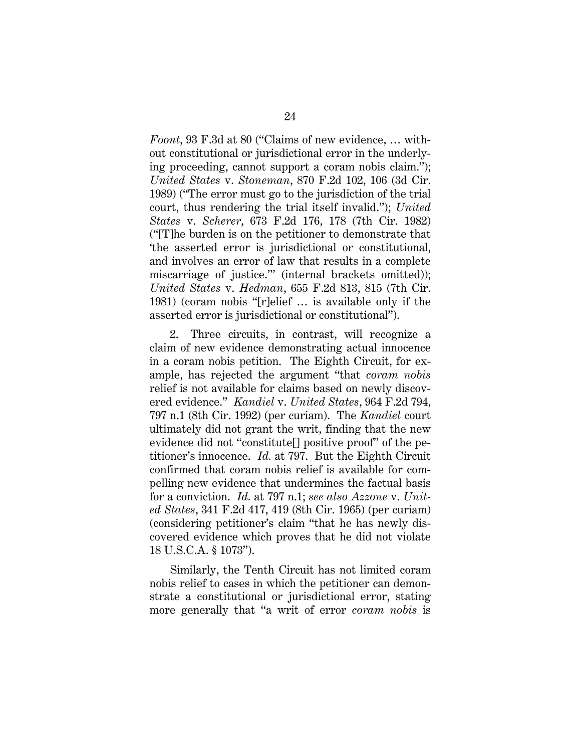*Foont*, 93 F.3d at 80 ("Claims of new evidence, … without constitutional or jurisdictional error in the underlying proceeding, cannot support a coram nobis claim."); *United States* v. *Stoneman*, 870 F.2d 102, 106 (3d Cir. 1989) ("The error must go to the jurisdiction of the trial court, thus rendering the trial itself invalid."); *United States* v. *Scherer*, 673 F.2d 176, 178 (7th Cir. 1982) ("[T]he burden is on the petitioner to demonstrate that 'the asserted error is jurisdictional or constitutional, and involves an error of law that results in a complete miscarriage of justice.'" (internal brackets omitted)); *United States* v. *Hedman*, 655 F.2d 813, 815 (7th Cir. 1981) (coram nobis "[r]elief … is available only if the asserted error is jurisdictional or constitutional").

2. Three circuits, in contrast, will recognize a claim of new evidence demonstrating actual innocence in a coram nobis petition. The Eighth Circuit, for example, has rejected the argument "that *coram nobis* relief is not available for claims based on newly discovered evidence." *Kandiel* v. *United States*, 964 F.2d 794, 797 n.1 (8th Cir. 1992) (per curiam). The *Kandiel* court ultimately did not grant the writ, finding that the new evidence did not "constitute[] positive proof" of the petitioner's innocence. *Id.* at 797. But the Eighth Circuit confirmed that coram nobis relief is available for compelling new evidence that undermines the factual basis for a conviction. *Id.* at 797 n.1; *see also Azzone* v. *United States*, 341 F.2d 417, 419 (8th Cir. 1965) (per curiam) (considering petitioner's claim "that he has newly discovered evidence which proves that he did not violate 18 U.S.C.A. § 1073").

Similarly, the Tenth Circuit has not limited coram nobis relief to cases in which the petitioner can demonstrate a constitutional or jurisdictional error, stating more generally that "a writ of error *coram nobis* is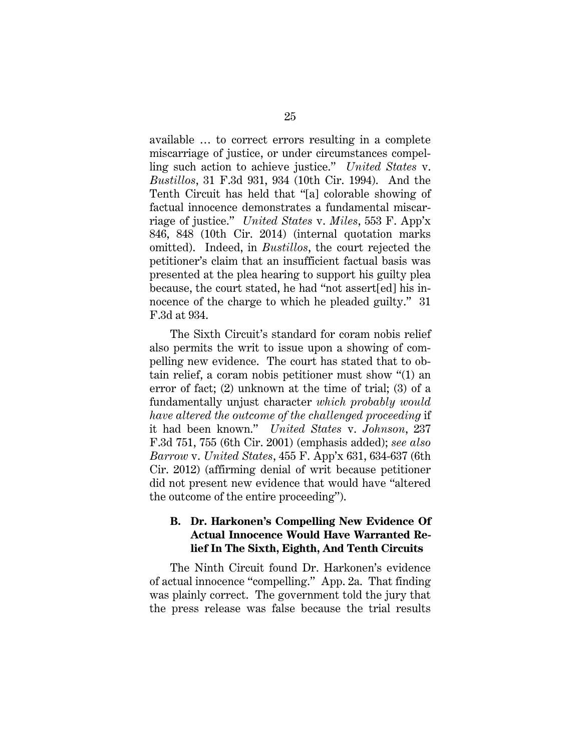available … to correct errors resulting in a complete miscarriage of justice, or under circumstances compelling such action to achieve justice." *United States* v. *Bustillos*, 31 F.3d 931, 934 (10th Cir. 1994). And the Tenth Circuit has held that "[a] colorable showing of factual innocence demonstrates a fundamental miscarriage of justice." *United States* v. *Miles*, 553 F. App'x 846, 848 (10th Cir. 2014) (internal quotation marks omitted). Indeed, in *Bustillos*, the court rejected the petitioner's claim that an insufficient factual basis was presented at the plea hearing to support his guilty plea because, the court stated, he had "not assert[ed] his innocence of the charge to which he pleaded guilty." 31 F.3d at 934.

The Sixth Circuit's standard for coram nobis relief also permits the writ to issue upon a showing of compelling new evidence. The court has stated that to obtain relief, a coram nobis petitioner must show "(1) an error of fact; (2) unknown at the time of trial; (3) of a fundamentally unjust character *which probably would have altered the outcome of the challenged proceeding* if it had been known." *United States* v. *Johnson*, 237 F.3d 751, 755 (6th Cir. 2001) (emphasis added); *see also Barrow* v. *United States*, 455 F. App'x 631, 634-637 (6th Cir. 2012) (affirming denial of writ because petitioner did not present new evidence that would have "altered the outcome of the entire proceeding").

## **B. Dr. Harkonen's Compelling New Evidence Of Actual Innocence Would Have Warranted Relief In The Sixth, Eighth, And Tenth Circuits**

The Ninth Circuit found Dr. Harkonen's evidence of actual innocence "compelling." App. 2a. That finding was plainly correct. The government told the jury that the press release was false because the trial results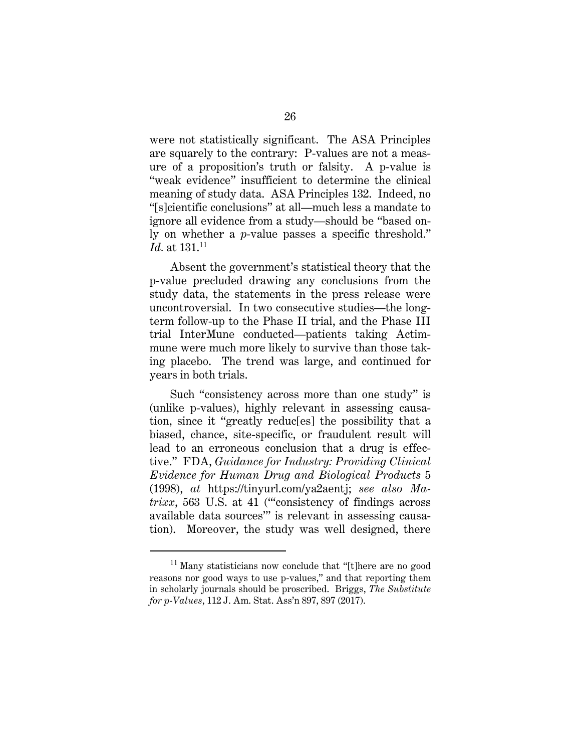were not statistically significant. The ASA Principles are squarely to the contrary: P-values are not a measure of a proposition's truth or falsity. A p-value is "weak evidence" insufficient to determine the clinical meaning of study data. ASA Principles 132. Indeed, no "[s]cientific conclusions" at all—much less a mandate to ignore all evidence from a study—should be "based only on whether a *p*-value passes a specific threshold." *Id.* at 131.<sup>11</sup>

Absent the government's statistical theory that the p-value precluded drawing any conclusions from the study data, the statements in the press release were uncontroversial. In two consecutive studies—the longterm follow-up to the Phase II trial, and the Phase III trial InterMune conducted—patients taking Actimmune were much more likely to survive than those taking placebo. The trend was large, and continued for years in both trials.

Such "consistency across more than one study" is (unlike p-values), highly relevant in assessing causation, since it "greatly reduc[es] the possibility that a biased, chance, site-specific, or fraudulent result will lead to an erroneous conclusion that a drug is effective." FDA, *Guidance for Industry: Providing Clinical Evidence for Human Drug and Biological Products* 5 (1998), *at* https://tinyurl.com/ya2aentj; *see also Matrixx*, 563 U.S. at 41 ("consistency of findings across") available data sources'" is relevant in assessing causation). Moreover, the study was well designed, there

<sup>&</sup>lt;sup>11</sup> Many statisticians now conclude that "[t]here are no good reasons nor good ways to use p-values," and that reporting them in scholarly journals should be proscribed. Briggs, *The Substitute for p-Values*, 112 J. Am. Stat. Ass'n 897, 897 (2017).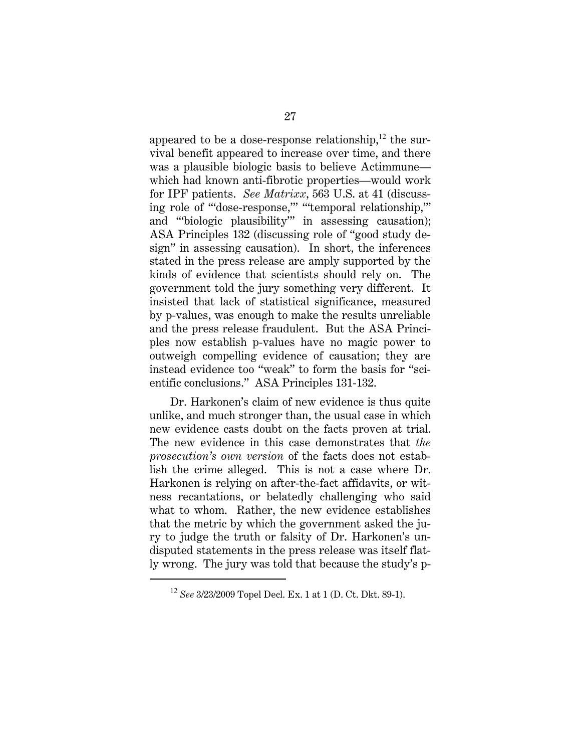appeared to be a dose-response relationship, $^{12}$  the survival benefit appeared to increase over time, and there was a plausible biologic basis to believe Actimmune which had known anti-fibrotic properties—would work for IPF patients. *See Matrixx*, 563 U.S. at 41 (discussing role of "'dose-response,'" "'temporal relationship,'" and "'biologic plausibility'" in assessing causation); ASA Principles 132 (discussing role of "good study design" in assessing causation). In short, the inferences stated in the press release are amply supported by the kinds of evidence that scientists should rely on. The government told the jury something very different. It insisted that lack of statistical significance, measured by p-values, was enough to make the results unreliable and the press release fraudulent. But the ASA Principles now establish p-values have no magic power to outweigh compelling evidence of causation; they are instead evidence too "weak" to form the basis for "scientific conclusions." ASA Principles 131-132.

Dr. Harkonen's claim of new evidence is thus quite unlike, and much stronger than, the usual case in which new evidence casts doubt on the facts proven at trial. The new evidence in this case demonstrates that *the prosecution's own version* of the facts does not establish the crime alleged. This is not a case where Dr. Harkonen is relying on after-the-fact affidavits, or witness recantations, or belatedly challenging who said what to whom. Rather, the new evidence establishes that the metric by which the government asked the jury to judge the truth or falsity of Dr. Harkonen's undisputed statements in the press release was itself flatly wrong. The jury was told that because the study's p-

<sup>12</sup> *See* 3/23/2009 Topel Decl. Ex. 1 at 1 (D. Ct. Dkt. 89-1).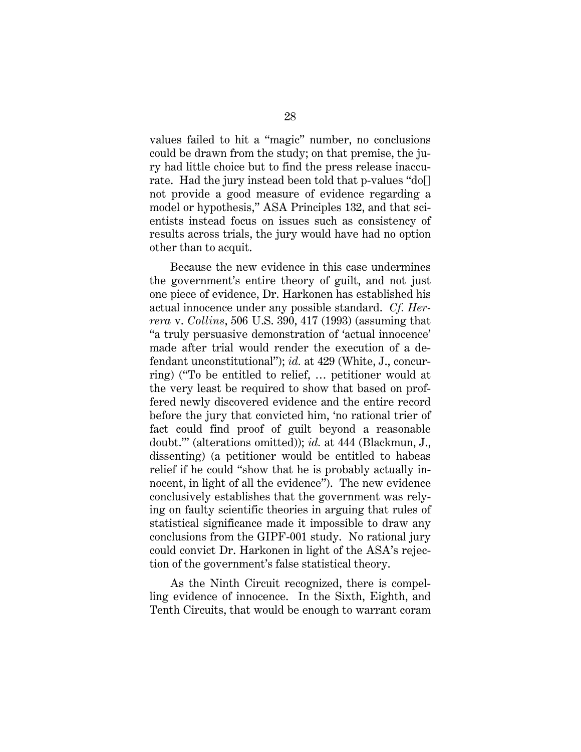values failed to hit a "magic" number, no conclusions could be drawn from the study; on that premise, the jury had little choice but to find the press release inaccurate. Had the jury instead been told that p-values "do[] not provide a good measure of evidence regarding a model or hypothesis," ASA Principles 132, and that scientists instead focus on issues such as consistency of results across trials, the jury would have had no option other than to acquit.

Because the new evidence in this case undermines the government's entire theory of guilt, and not just one piece of evidence, Dr. Harkonen has established his actual innocence under any possible standard. *Cf. Herrera* v. *Collins*, 506 U.S. 390, 417 (1993) (assuming that "a truly persuasive demonstration of 'actual innocence' made after trial would render the execution of a defendant unconstitutional"); *id.* at 429 (White, J., concurring) ("To be entitled to relief, … petitioner would at the very least be required to show that based on proffered newly discovered evidence and the entire record before the jury that convicted him, 'no rational trier of fact could find proof of guilt beyond a reasonable doubt.'" (alterations omitted)); *id.* at 444 (Blackmun, J., dissenting) (a petitioner would be entitled to habeas relief if he could "show that he is probably actually innocent, in light of all the evidence"). The new evidence conclusively establishes that the government was relying on faulty scientific theories in arguing that rules of statistical significance made it impossible to draw any conclusions from the GIPF-001 study. No rational jury could convict Dr. Harkonen in light of the ASA's rejection of the government's false statistical theory.

As the Ninth Circuit recognized, there is compelling evidence of innocence. In the Sixth, Eighth, and Tenth Circuits, that would be enough to warrant coram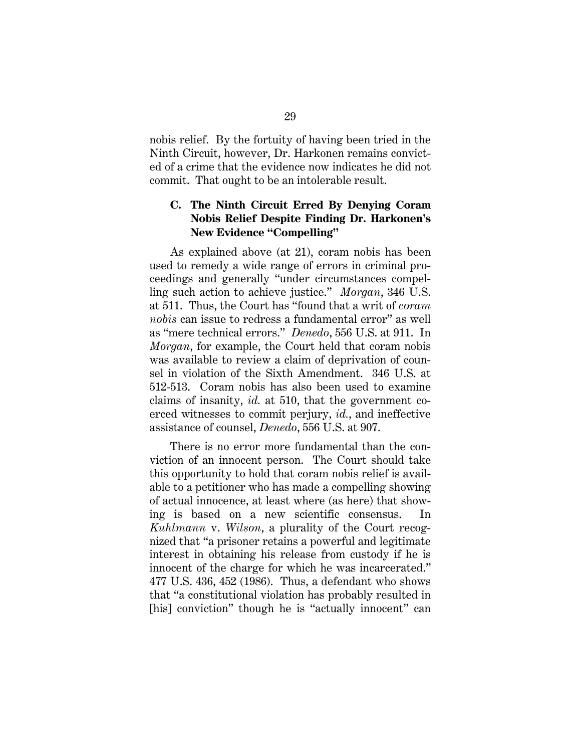nobis relief. By the fortuity of having been tried in the Ninth Circuit, however, Dr. Harkonen remains convicted of a crime that the evidence now indicates he did not commit. That ought to be an intolerable result.

## **C. The Ninth Circuit Erred By Denying Coram Nobis Relief Despite Finding Dr. Harkonen's New Evidence "Compelling"**

As explained above (at 21), coram nobis has been used to remedy a wide range of errors in criminal proceedings and generally "under circumstances compelling such action to achieve justice." *Morgan*, 346 U.S. at 511. Thus, the Court has "found that a writ of *coram nobis* can issue to redress a fundamental error" as well as "mere technical errors." *Denedo*, 556 U.S. at 911. In *Morgan*, for example, the Court held that coram nobis was available to review a claim of deprivation of counsel in violation of the Sixth Amendment. 346 U.S. at 512-513. Coram nobis has also been used to examine claims of insanity, *id.* at 510, that the government coerced witnesses to commit perjury, *id.*, and ineffective assistance of counsel, *Denedo*, 556 U.S. at 907.

There is no error more fundamental than the conviction of an innocent person. The Court should take this opportunity to hold that coram nobis relief is available to a petitioner who has made a compelling showing of actual innocence, at least where (as here) that showing is based on a new scientific consensus. *Kuhlmann* v. *Wilson*, a plurality of the Court recognized that "a prisoner retains a powerful and legitimate interest in obtaining his release from custody if he is innocent of the charge for which he was incarcerated." 477 U.S. 436, 452 (1986). Thus, a defendant who shows that "a constitutional violation has probably resulted in [his] conviction" though he is "actually innocent" can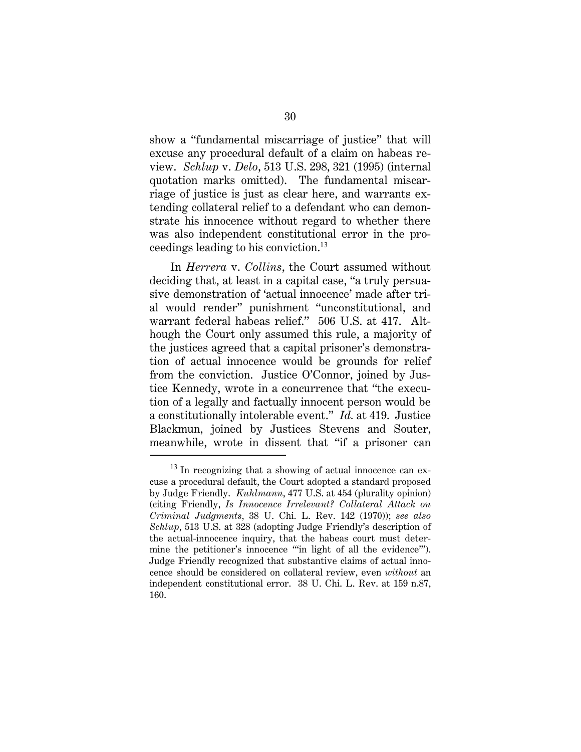show a "fundamental miscarriage of justice" that will excuse any procedural default of a claim on habeas review. *Schlup* v. *Delo*, 513 U.S. 298, 321 (1995) (internal quotation marks omitted). The fundamental miscarriage of justice is just as clear here, and warrants extending collateral relief to a defendant who can demonstrate his innocence without regard to whether there was also independent constitutional error in the proceedings leading to his conviction.<sup>13</sup>

In *Herrera* v. *Collins*, the Court assumed without deciding that, at least in a capital case, "a truly persuasive demonstration of 'actual innocence' made after trial would render" punishment "unconstitutional, and warrant federal habeas relief." 506 U.S. at 417. Although the Court only assumed this rule, a majority of the justices agreed that a capital prisoner's demonstration of actual innocence would be grounds for relief from the conviction. Justice O'Connor, joined by Justice Kennedy, wrote in a concurrence that "the execution of a legally and factually innocent person would be a constitutionally intolerable event." *Id.* at 419. Justice Blackmun, joined by Justices Stevens and Souter, meanwhile, wrote in dissent that "if a prisoner can

 $13$  In recognizing that a showing of actual innocence can excuse a procedural default, the Court adopted a standard proposed by Judge Friendly. *Kuhlmann*, 477 U.S. at 454 (plurality opinion) (citing Friendly, *Is Innocence Irrelevant? Collateral Attack on Criminal Judgments*, 38 U. Chi. L. Rev. 142 (1970)); *see also Schlup*, 513 U.S. at 328 (adopting Judge Friendly's description of the actual-innocence inquiry, that the habeas court must determine the petitioner's innocence "'in light of all the evidence'"). Judge Friendly recognized that substantive claims of actual innocence should be considered on collateral review, even *without* an independent constitutional error. 38 U. Chi. L. Rev. at 159 n.87, 160.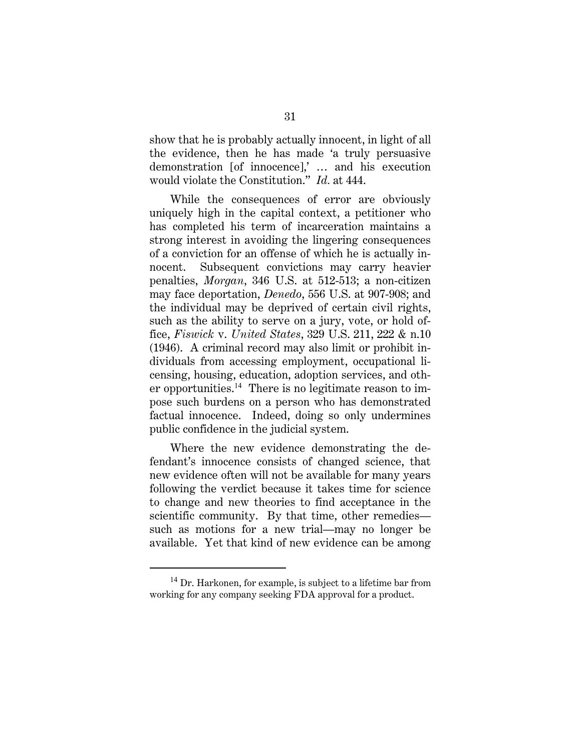show that he is probably actually innocent, in light of all the evidence, then he has made 'a truly persuasive demonstration [of innocence],' … and his execution would violate the Constitution." *Id.* at 444.

While the consequences of error are obviously uniquely high in the capital context, a petitioner who has completed his term of incarceration maintains a strong interest in avoiding the lingering consequences of a conviction for an offense of which he is actually innocent. Subsequent convictions may carry heavier penalties, *Morgan*, 346 U.S. at 512-513; a non-citizen may face deportation, *Denedo*, 556 U.S. at 907-908; and the individual may be deprived of certain civil rights, such as the ability to serve on a jury, vote, or hold office, *Fiswick* v. *United States*, 329 U.S. 211, 222 & n.10 (1946). A criminal record may also limit or prohibit individuals from accessing employment, occupational licensing, housing, education, adoption services, and other opportunities. $14$  There is no legitimate reason to impose such burdens on a person who has demonstrated factual innocence. Indeed, doing so only undermines public confidence in the judicial system.

Where the new evidence demonstrating the defendant's innocence consists of changed science, that new evidence often will not be available for many years following the verdict because it takes time for science to change and new theories to find acceptance in the scientific community. By that time, other remedies such as motions for a new trial—may no longer be available. Yet that kind of new evidence can be among

<sup>&</sup>lt;sup>14</sup> Dr. Harkonen, for example, is subject to a lifetime bar from working for any company seeking FDA approval for a product.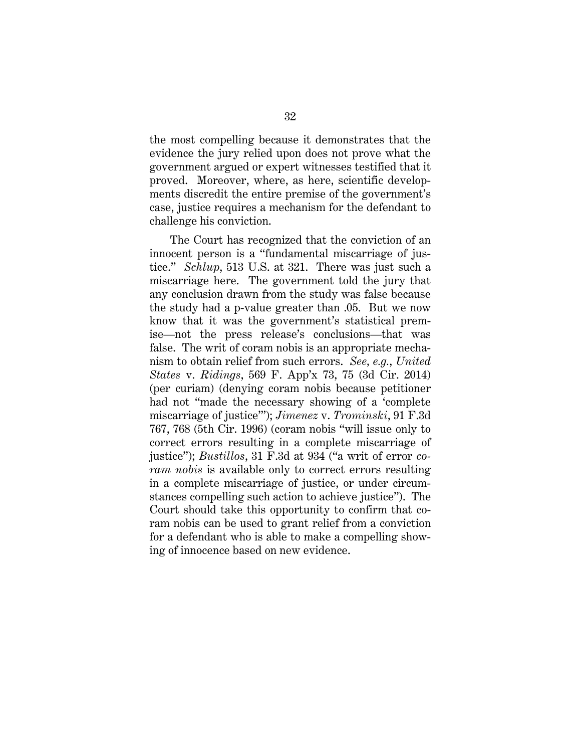the most compelling because it demonstrates that the evidence the jury relied upon does not prove what the government argued or expert witnesses testified that it proved. Moreover, where, as here, scientific developments discredit the entire premise of the government's case, justice requires a mechanism for the defendant to challenge his conviction.

The Court has recognized that the conviction of an innocent person is a "fundamental miscarriage of justice." *Schlup*, 513 U.S. at 321. There was just such a miscarriage here. The government told the jury that any conclusion drawn from the study was false because the study had a p-value greater than .05. But we now know that it was the government's statistical premise—not the press release's conclusions—that was false. The writ of coram nobis is an appropriate mechanism to obtain relief from such errors. *See, e.g.*, *United States* v. *Ridings*, 569 F. App'x 73, 75 (3d Cir. 2014) (per curiam) (denying coram nobis because petitioner had not "made the necessary showing of a 'complete miscarriage of justice'"); *Jimenez* v. *Trominski*, 91 F.3d 767, 768 (5th Cir. 1996) (coram nobis "will issue only to correct errors resulting in a complete miscarriage of justice"); *Bustillos*, 31 F.3d at 934 ("a writ of error *coram nobis* is available only to correct errors resulting in a complete miscarriage of justice, or under circumstances compelling such action to achieve justice"). The Court should take this opportunity to confirm that coram nobis can be used to grant relief from a conviction for a defendant who is able to make a compelling showing of innocence based on new evidence.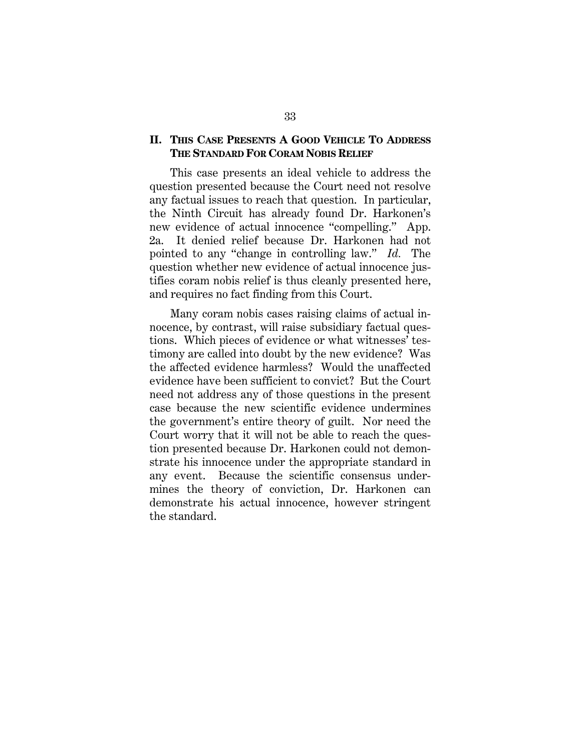#### **II. THIS CASE PRESENTS A GOOD VEHICLE TO ADDRESS THE STANDARD FOR CORAM NOBIS RELIEF**

This case presents an ideal vehicle to address the question presented because the Court need not resolve any factual issues to reach that question. In particular, the Ninth Circuit has already found Dr. Harkonen's new evidence of actual innocence "compelling." App. 2a. It denied relief because Dr. Harkonen had not pointed to any "change in controlling law." *Id.* The question whether new evidence of actual innocence justifies coram nobis relief is thus cleanly presented here, and requires no fact finding from this Court.

Many coram nobis cases raising claims of actual innocence, by contrast, will raise subsidiary factual questions. Which pieces of evidence or what witnesses' testimony are called into doubt by the new evidence? Was the affected evidence harmless? Would the unaffected evidence have been sufficient to convict? But the Court need not address any of those questions in the present case because the new scientific evidence undermines the government's entire theory of guilt. Nor need the Court worry that it will not be able to reach the question presented because Dr. Harkonen could not demonstrate his innocence under the appropriate standard in any event. Because the scientific consensus undermines the theory of conviction, Dr. Harkonen can demonstrate his actual innocence, however stringent the standard.